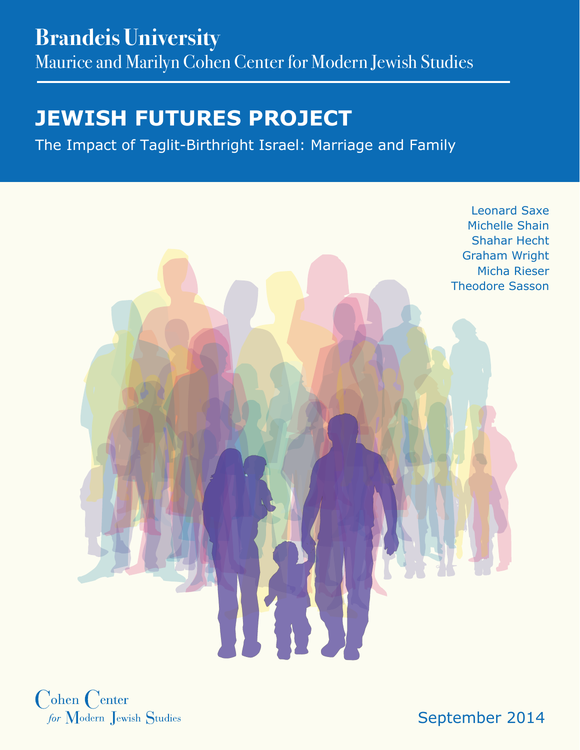# **JEWISH FUTURES PROJECT**

The Impact of Taglit-Birthright Israel: Marriage and Family



September 2014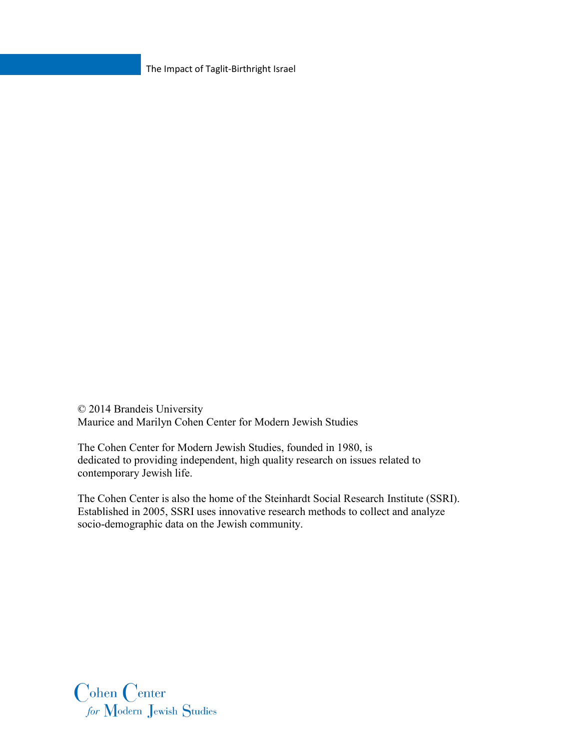The Impact of Taglit-Birthright Israel

© 2014 Brandeis University Maurice and Marilyn Cohen Center for Modern Jewish Studies

The Cohen Center for Modern Jewish Studies, founded in 1980, is dedicated to providing independent, high quality research on issues related to contemporary Jewish life.

The Cohen Center is also the home of the Steinhardt Social Research Institute (SSRI). Established in 2005, SSRI uses innovative research methods to collect and analyze socio-demographic data on the Jewish community.

 $\label{eq:coher} \textbf{C}^\text{ohen} \xspace \textbf{C}^\text{enter}$ for Modern Jewish Studies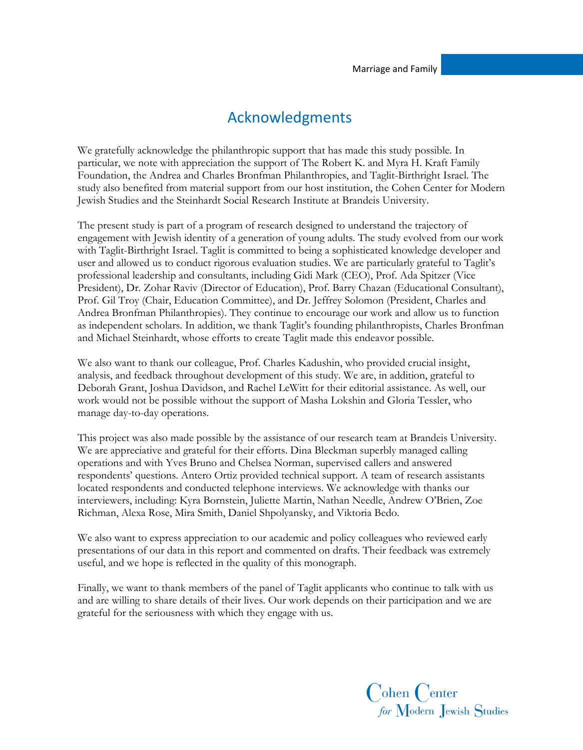# Acknowledgments

We gratefully acknowledge the philanthropic support that has made this study possible. In particular, we note with appreciation the support of The Robert K. and Myra H. Kraft Family Foundation, the Andrea and Charles Bronfman Philanthropies, and Taglit-Birthright Israel. The study also benefited from material support from our host institution, the Cohen Center for Modern Jewish Studies and the Steinhardt Social Research Institute at Brandeis University.

The present study is part of a program of research designed to understand the trajectory of engagement with Jewish identity of a generation of young adults. The study evolved from our work with Taglit-Birthright Israel. Taglit is committed to being a sophisticated knowledge developer and user and allowed us to conduct rigorous evaluation studies. We are particularly grateful to Taglit's professional leadership and consultants, including Gidi Mark (CEO), Prof. Ada Spitzer (Vice President), Dr. Zohar Raviv (Director of Education), Prof. Barry Chazan (Educational Consultant), Prof. Gil Troy (Chair, Education Committee), and Dr. Jeffrey Solomon (President, Charles and Andrea Bronfman Philanthropies). They continue to encourage our work and allow us to function as independent scholars. In addition, we thank Taglit's founding philanthropists, Charles Bronfman and Michael Steinhardt, whose efforts to create Taglit made this endeavor possible.

We also want to thank our colleague, Prof. Charles Kadushin, who provided crucial insight, analysis, and feedback throughout development of this study. We are, in addition, grateful to Deborah Grant, Joshua Davidson, and Rachel LeWitt for their editorial assistance. As well, our work would not be possible without the support of Masha Lokshin and Gloria Tessler, who manage day-to-day operations.

This project was also made possible by the assistance of our research team at Brandeis University. We are appreciative and grateful for their efforts. Dina Bleckman superbly managed calling operations and with Yves Bruno and Chelsea Norman, supervised callers and answered respondents' questions. Antero Ortiz provided technical support. A team of research assistants located respondents and conducted telephone interviews. We acknowledge with thanks our interviewers, including: Kyra Bornstein, Juliette Martin, Nathan Needle, Andrew O'Brien, Zoe Richman, Alexa Rose, Mira Smith, Daniel Shpolyansky, and Viktoria Bedo.

We also want to express appreciation to our academic and policy colleagues who reviewed early presentations of our data in this report and commented on drafts. Their feedback was extremely useful, and we hope is reflected in the quality of this monograph.

Finally, we want to thank members of the panel of Taglit applicants who continue to talk with us and are willing to share details of their lives. Our work depends on their participation and we are grateful for the seriousness with which they engage with us.

> $\int$ ohen  $\int$ enter for Modern Tewish Studies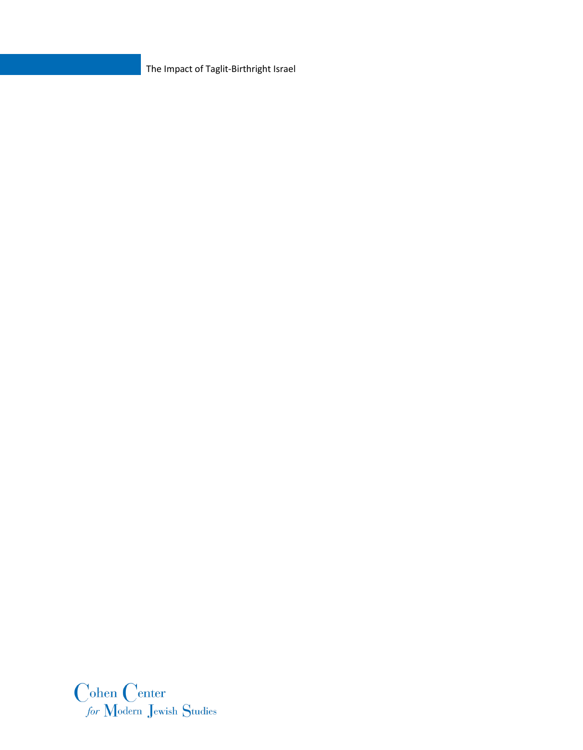The Impact of Taglit-Birthright Israel

 $\begin{array}{c} \textbf{Cohen Center} \\ \textit{for Modern Jewish Studies} \end{array}$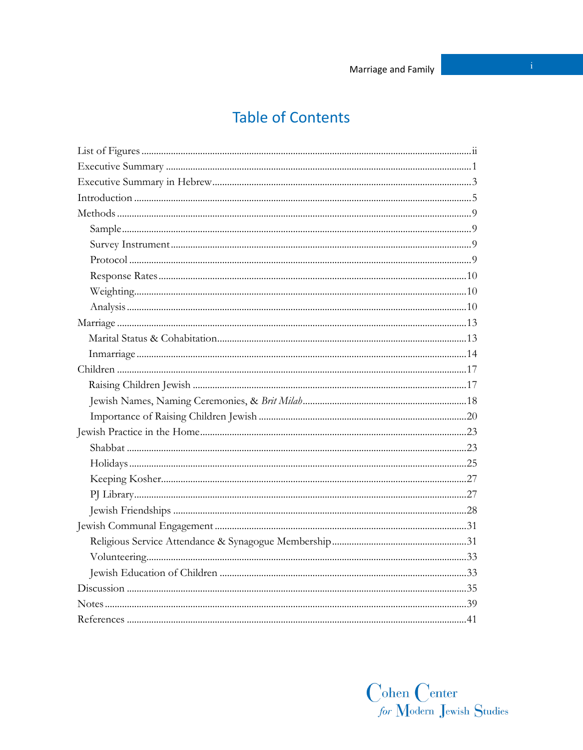# **Table of Contents**

| 33 |
|----|
|    |
|    |
|    |
|    |

 $\begin{array}{c} \textbf{Cohen Center} \\ \textit{for Modern Jewish Studies} \end{array}$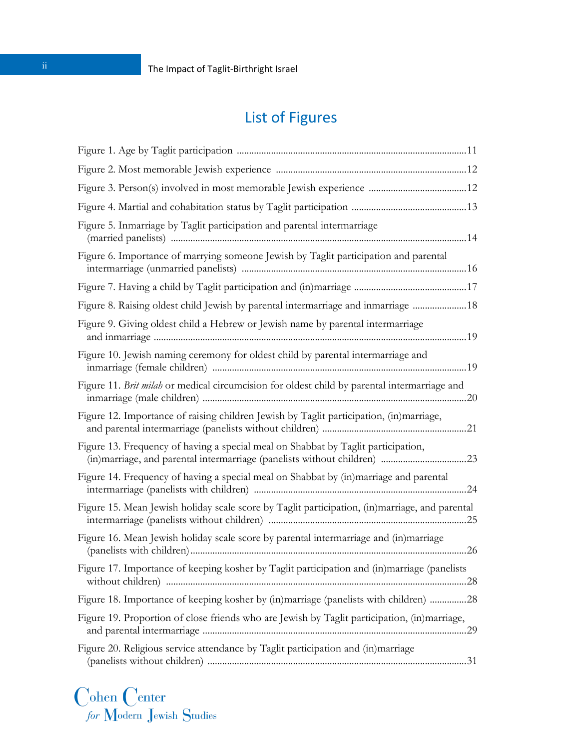# List of Figures

| Figure 5. Inmarriage by Taglit participation and parental intermarriage                        |
|------------------------------------------------------------------------------------------------|
| Figure 6. Importance of marrying someone Jewish by Taglit participation and parental           |
|                                                                                                |
| Figure 8. Raising oldest child Jewish by parental intermarriage and inmarriage  18             |
| Figure 9. Giving oldest child a Hebrew or Jewish name by parental intermarriage                |
| Figure 10. Jewish naming ceremony for oldest child by parental intermarriage and               |
| Figure 11. Brit milah or medical circumcision for oldest child by parental intermarriage and   |
| Figure 12. Importance of raising children Jewish by Taglit participation, (in)marriage,        |
| Figure 13. Frequency of having a special meal on Shabbat by Taglit participation,              |
| Figure 14. Frequency of having a special meal on Shabbat by (in)marriage and parental          |
| Figure 15. Mean Jewish holiday scale score by Taglit participation, (in)marriage, and parental |
| Figure 16. Mean Jewish holiday scale score by parental intermarriage and (in)marriage          |
| Figure 17. Importance of keeping kosher by Taglit participation and (in)marriage (panelists    |
| Figure 18. Importance of keeping kosher by (in)marriage (panelists with children) 28           |
| Figure 19. Proportion of close friends who are Jewish by Taglit participation, (in)marriage,   |
| Figure 20. Religious service attendance by Taglit participation and (in)marriage               |

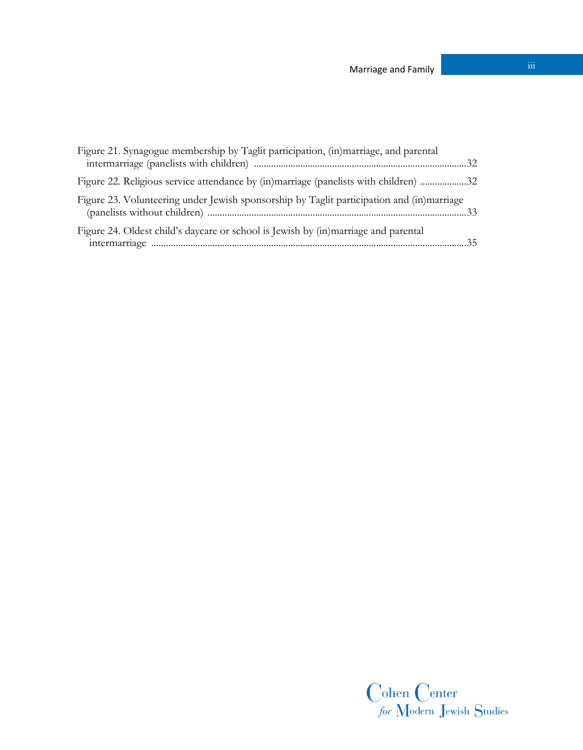| Figure 21. Synagogue membership by Taglit participation, (in)marriage, and parental       |    |
|-------------------------------------------------------------------------------------------|----|
| Figure 22. Religious service attendance by (in)marriage (panelists with children) 32      |    |
| Figure 23. Volunteering under Jewish sponsorship by Taglit participation and (in)marriage |    |
| Figure 24. Oldest child's daycare or school is Jewish by (in)marriage and parental        | 35 |

 $\begin{array}{c} \textbf{Cohen Center} \\ \textit{for Modern Jewish Studies} \end{array}$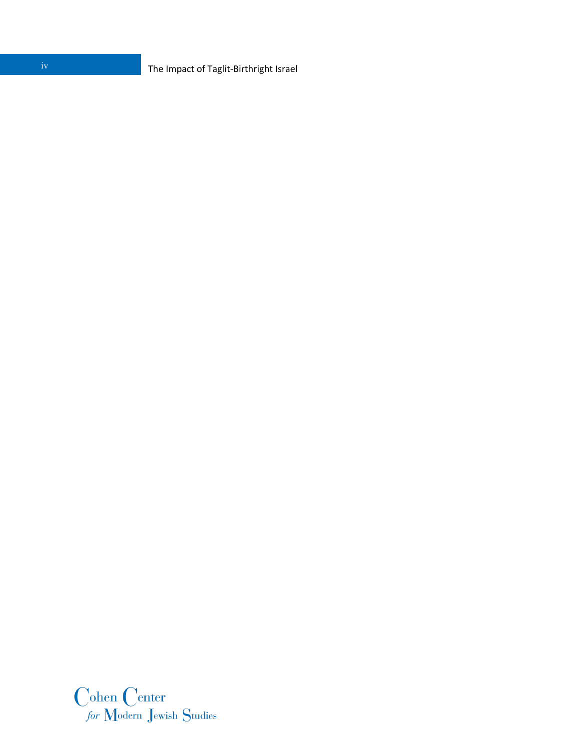iv The Impact of Taglit-Birthright Israel

Cohen Center<br>*for* Modern Jewish Studies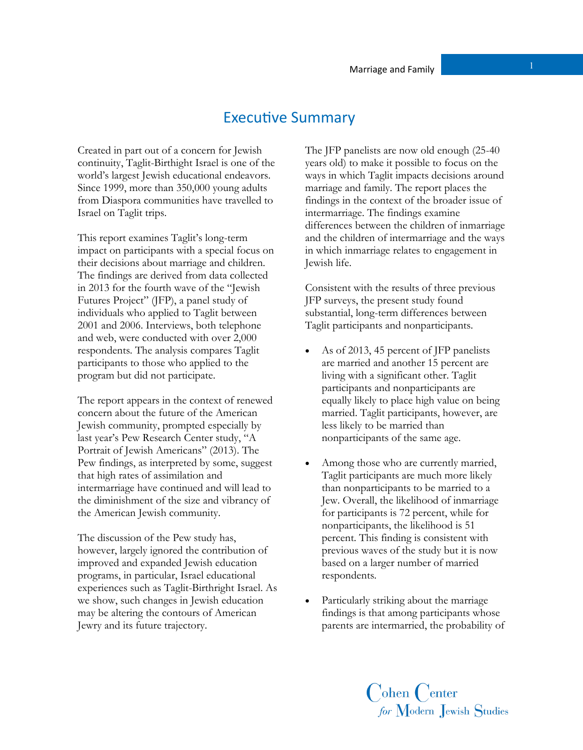## Executive Summary

Created in part out of a concern for Jewish continuity, Taglit-Birthight Israel is one of the world's largest Jewish educational endeavors. Since 1999, more than 350,000 young adults from Diaspora communities have travelled to Israel on Taglit trips.

This report examines Taglit's long-term impact on participants with a special focus on their decisions about marriage and children. The findings are derived from data collected in 2013 for the fourth wave of the "Jewish Futures Project" (JFP), a panel study of individuals who applied to Taglit between 2001 and 2006. Interviews, both telephone and web, were conducted with over 2,000 respondents. The analysis compares Taglit participants to those who applied to the program but did not participate.

The report appears in the context of renewed concern about the future of the American Jewish community, prompted especially by last year's Pew Research Center study, "A Portrait of Jewish Americans" (2013). The Pew findings, as interpreted by some, suggest that high rates of assimilation and intermarriage have continued and will lead to the diminishment of the size and vibrancy of the American Jewish community.

The discussion of the Pew study has, however, largely ignored the contribution of improved and expanded Jewish education programs, in particular, Israel educational experiences such as Taglit-Birthright Israel. As we show, such changes in Jewish education may be altering the contours of American Jewry and its future trajectory.

The JFP panelists are now old enough (25-40 years old) to make it possible to focus on the ways in which Taglit impacts decisions around marriage and family. The report places the findings in the context of the broader issue of intermarriage. The findings examine differences between the children of inmarriage and the children of intermarriage and the ways in which inmarriage relates to engagement in Jewish life.

Consistent with the results of three previous JFP surveys, the present study found substantial, long-term differences between Taglit participants and nonparticipants.

- As of 2013, 45 percent of JFP panelists are married and another 15 percent are living with a significant other. Taglit participants and nonparticipants are equally likely to place high value on being married. Taglit participants, however, are less likely to be married than nonparticipants of the same age.
- Among those who are currently married, Taglit participants are much more likely than nonparticipants to be married to a Jew. Overall, the likelihood of inmarriage for participants is 72 percent, while for nonparticipants, the likelihood is 51 percent. This finding is consistent with previous waves of the study but it is now based on a larger number of married respondents.
- Particularly striking about the marriage findings is that among participants whose parents are intermarried, the probability of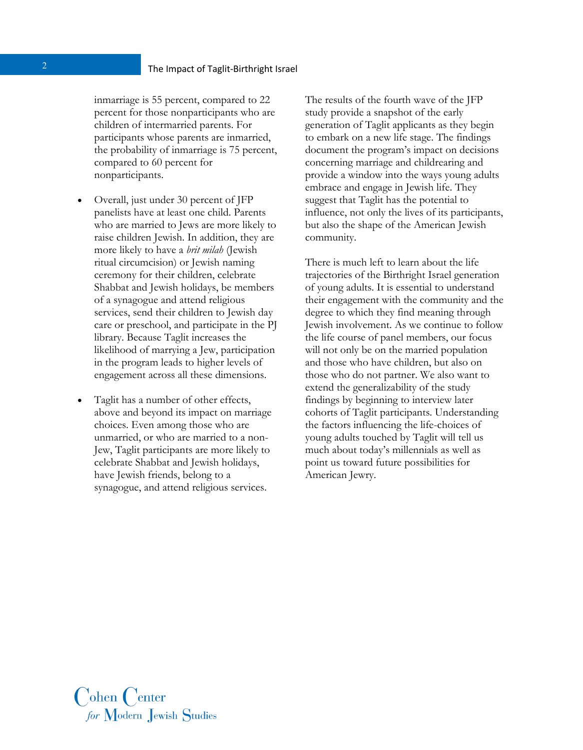inmarriage is 55 percent, compared to 22 percent for those nonparticipants who are children of intermarried parents. For participants whose parents are inmarried, the probability of inmarriage is 75 percent, compared to 60 percent for nonparticipants.

- Overall, just under 30 percent of JFP panelists have at least one child. Parents who are married to Jews are more likely to raise children Jewish. In addition, they are more likely to have a *brit milah* (Jewish ritual circumcision) or Jewish naming ceremony for their children, celebrate Shabbat and Jewish holidays, be members of a synagogue and attend religious services, send their children to Jewish day care or preschool, and participate in the PJ library. Because Taglit increases the likelihood of marrying a Jew, participation in the program leads to higher levels of engagement across all these dimensions.
- Taglit has a number of other effects, above and beyond its impact on marriage choices. Even among those who are unmarried, or who are married to a non-Jew, Taglit participants are more likely to celebrate Shabbat and Jewish holidays, have Jewish friends, belong to a synagogue, and attend religious services.

The results of the fourth wave of the JFP study provide a snapshot of the early generation of Taglit applicants as they begin to embark on a new life stage. The findings document the program's impact on decisions concerning marriage and childrearing and provide a window into the ways young adults embrace and engage in Jewish life. They suggest that Taglit has the potential to influence, not only the lives of its participants, but also the shape of the American Jewish community.

There is much left to learn about the life trajectories of the Birthright Israel generation of young adults. It is essential to understand their engagement with the community and the degree to which they find meaning through Jewish involvement. As we continue to follow the life course of panel members, our focus will not only be on the married population and those who have children, but also on those who do not partner. We also want to extend the generalizability of the study findings by beginning to interview later cohorts of Taglit participants. Understanding the factors influencing the life-choices of young adults touched by Taglit will tell us much about today's millennials as well as point us toward future possibilities for American Jewry.

 $\int$ ohen  $\int$ enter for Modern Tewish Studies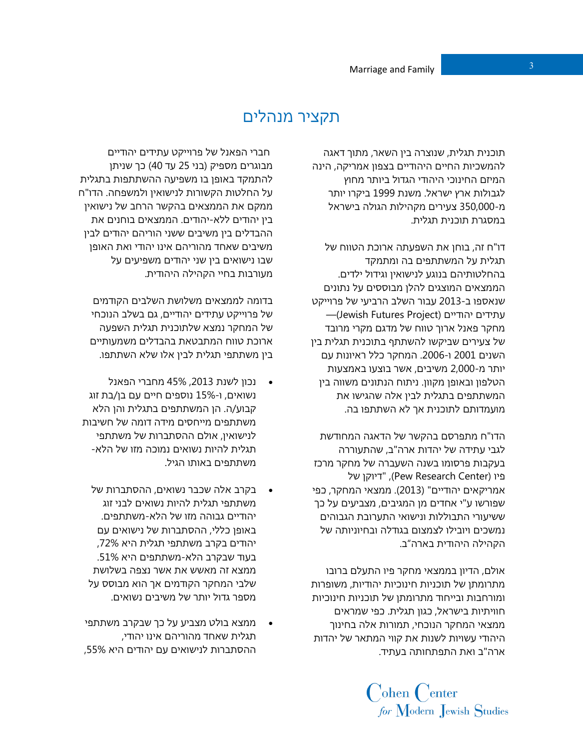# תקציר מנהלים

תוכנית תגלית, שנוצרה בין השאר, מתוך דאגה להמשכיות החיים היהודיים בצפון אמריקה, הינה המיזם החינוכי היהודי הגדול ביותר מחוץ לגבולות ארץ ישראל. משנת 9111 ביקרו יותר מ003,333- צעירים מקהילות הגולה בישראל במסגרת תוכנית תגלית.

דו"ח זה, בוחן את השפעתה ארוכת הטווח של תגלית על המשתתפים בה ומתמקד בהחלטותיהם בנוגע לנישואין וגידול ילדים. הממצאים המוצגים להלן מבוססים על נתונים שנאספו ב3390- עבור השלב הרביעי של פרוייקט —)Jewish Futures Project( יהודיים עתידים מחקר פאנל ארוך טווח של מדגם מקרי מרובד של צעירים שביקשו להשתתף בתוכנית תגלית בין השנים 3339 ו.3332- המחקר כלל ראיונות עם יותר מ3,333- משיבים, אשר בוצעו באמצעות הטלפון ובאופן מקוון. ניתוח הנתונים משווה בין המשתתפים בתגלית לבין אלה שהגישו את מועמדותם לתוכנית אך לא השתתפו בה.

הדו"ח מתפרסם בהקשר של הדאגה המחודשת לגבי עתידה של יהדות ארה"ב, שהתעוררה בעקבות פרסומו בשנה השעברה של מחקר מרכז פיו (Pew Research Center), "דיוקן של אמריקאים יהודיים" )3390(. ממצאי המחקר, כפי שפורשו ע"י אחדים מן המגיבים, מצביעים על כך ששיעורי התבוללות ונישואי התערובת הגבוהים נמשכים ויובילו לצמצום בגודלה ובחיוניותה של הקהילה היהודית בארה"ב.

אולם, הדיון בממצאי מחקר פיו התעלם ברובו מתרומתן של תוכניות חינוכיות יהודיות, משופרות ומורחבות ובייחוד מתרומתן של תוכניות חינוכיות חוויתיות בישראל, כגון תגלית. כפי שמראים ממצאי המחקר הנוכחי, תמורות אלה בחינוך היהודי עשויות לשנות את קווי המתאר של יהדות ארה"ב ואת התפתחותה בעתיד.

חברי הפאנל של פרוייקט עתידים יהודיים מבוגרים מספיק )בני 30 עד 03( כך שניתן להתמקד באופן בו משפיעה ההשתתפות בתגלית על החלטות הקשורות לנישואין ולמשפחה. הדו"ח ממקם את הממצאים בהקשר הרחב של נישואין בין יהודים ללא-יהודים. הממצאים בוחנים את ההבדלים בין משיבים ששני הוריהם יהודים לבין משיבים שאחד מהוריהם אינו יהודי ואת האופן שבו נישואים בין שני יהודים משפיעים על מעורבות בחיי הקהילה היהודית.

בדומה לממצאים משלושת השלבים הקודמים של פרוייקט עתידים יהודיים, גם בשלב הנוכחי של המחקר נמצא שלתוכנית תגלית השפעה ארוכת טווח המתבטאת בהבדלים משמעותיים בין משתתפי תגלית לבין אלו שלא השתתפו.

- נכון לשנת 2013, 45% מחברי הפאנל נשואים, ו-15% נוספים חיים עם בן/בת זוג קבוע/ה. הן המשתתפים בתגלית והן הלא משתתפים מייחסים מידה דומה של חשיבות לנישואין, אולם ההסתברות של משתתפי תגלית להיות נשואים נמוכה מזו של הלא- משתתפים באותו הגיל.
	- בקרב אלה שכבר נשואים, ההסתברות של משתתפי תגלית להיות נשואים לבני זוג יהודיים גבוהה מזו של הלא-משתתפים. באופן כללי, ההסתברות של נישואים עם יהודים בקרב משתתפי תגלית היא ,%34 בעוד שבקרב הלא-משתתפים היא 51%. ממצא זה מאשש את אשר נצפה בשלושת שלבי המחקר הקודמים אך הוא מבוסס על מספר גדול יותר של משיבים נשואים.
- ממצא בולט מצביע על כך שבקרב משתתפי תגלית שאחד מהוריהם אינו יהודי, ההסתברות לנישואים עם יהודים היא ,004

 $\int$ ohen  $\int$ enter for Modern Tewish Studies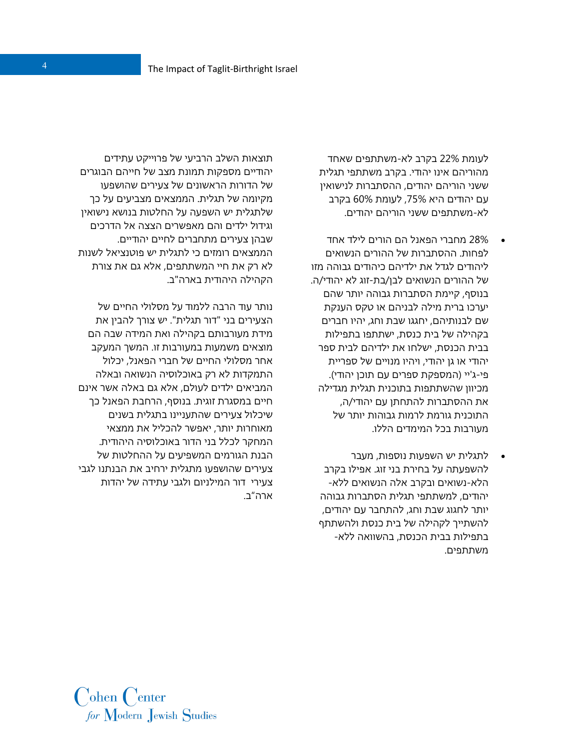לעומת 334 בקרב לא-משתתפים שאחד מהוריהם אינו יהודי. בקרב משתתפי תגלית ששני הוריהם יהודים, ההסתברות לנישואין עם יהודים היא ,%04 לעומת 234 בקרב לא-משתתפים ששני הוריהם יהודים.

- 384 מחברי הפאנל הם הורים לילד אחד לפחות. ההסתברות של ההורים הנשואים ליהודים לגדל את ילדיהם כיהודים גבוהה מזו של ההורים הנשואים לבן/בת-זוג לא יהודי/ה. בנוסף, קיימת הסתברות גבוהה יותר שהם יערכו ברית מילה לבניהם או טקס הענקת שם לבנותיהם, יחגגו שבת וחג, יהיו חברים בקהילה של בית כנסת, ישתתפו בתפילות בבית הכנסת, ישלחו את ילדיהם לבית ספר יהודי או גן יהודי, ויהיו מנויים של ספריית פי-ג'יי (המספקת ספרים עם תוכן יהודי). מכיוון שהשתתפות בתוכנית תגלית מגדילה את ההסתברות להתחתן עם יהודי/ה, התוכנית גורמת לרמות גבוהות יותר של מעורבות בכל המימדים הללו.
- לתגלית יש השפעות נוספות, מעבר להשפעתה על בחירת בני זוג. אפילו בקרב הלא-נשואים ובקרב אלה הנשואים ללא- יהודים, למשתתפי תגלית הסתברות גבוהה יותר לחגוג שבת וחג, להתחבר עם יהודים, להשתייך לקהילה של בית כנסת ולהשתתף בתפילות בבית הכנסת, בהשוואה ללא- משתתפים.

תוצאות השלב הרביעי של פרוייקט עתידים יהודיים מספקות תמונת מצב של חייהם הבוגרים של הדורות הראשונים של צעירים שהושפעו מקיומה של תגלית. הממצאים מצביעים על כך שלתגלית יש השפעה על החלטות בנושא נישואין וגידול ילדים והם מאפשרים הצצה אל הדרכים שבהן צעירים מתחברים לחיים יהודיים. הממצאים רומזים כי לתגלית יש פוטנציאל לשנות לא רק את חיי המשתתפים, אלא גם את צורת הקהילה היהודית בארה"ב.

נותר עוד הרבה ללמוד על מסלולי החיים של הצעירים בני "דור תגלית". יש צורך להבין את מידת מעורבותם בקהילה ואת המידה שבה הם מוצאים משמעות במעורבות זו. המשך המעקב אחר מסלולי החיים של חברי הפאנל, יכלול התמקדות לא רק באוכלוסיה הנשואה ובאלה המביאים ילדים לעולם, אלא גם באלה אשר אינם חיים במסגרת זוגית. בנוסף, הרחבת הפאנל כך שיכלול צעירים שהתעניינו בתגלית בשנים מאוחרות יותר, יאפשר להכליל את ממצאי המחקר לכלל בני הדור באוכלוסיה היהודית. הבנת הגורמים המשפיעים על ההחלטות של צעירים שהושפעו מתגלית ירחיב את הבנתנו לגבי צעירי דור המילניום ולגבי עתידה של יהדות ארה"ב.

 $\bigcirc$ ohen  $\bigcirc$ enter for Modern Tewish Studies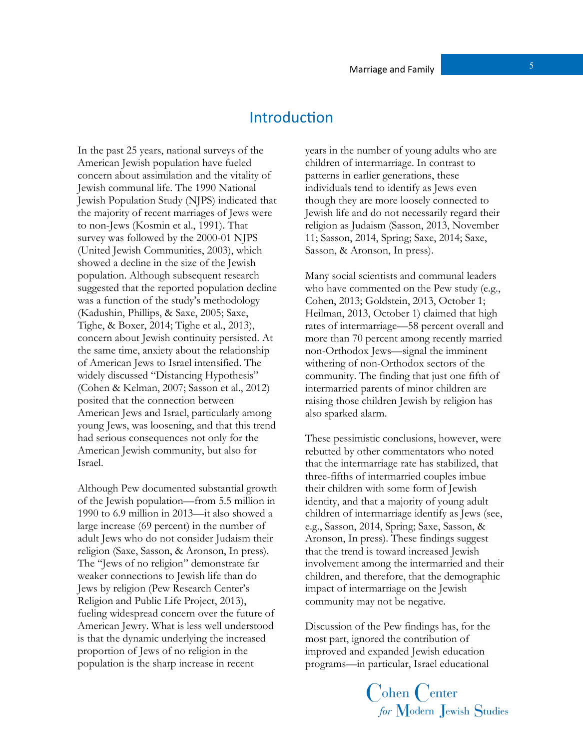# Introduction

In the past 25 years, national surveys of the American Jewish population have fueled concern about assimilation and the vitality of Jewish communal life. The 1990 National Jewish Population Study (NJPS) indicated that the majority of recent marriages of Jews were to non-Jews (Kosmin et al., 1991). That survey was followed by the 2000-01 NJPS (United Jewish Communities, 2003), which showed a decline in the size of the Jewish population. Although subsequent research suggested that the reported population decline was a function of the study's methodology (Kadushin, Phillips, & Saxe, 2005; Saxe, Tighe, & Boxer, 2014; Tighe et al., 2013), concern about Jewish continuity persisted. At the same time, anxiety about the relationship of American Jews to Israel intensified. The widely discussed "Distancing Hypothesis" (Cohen & Kelman, 2007; Sasson et al., 2012) posited that the connection between American Jews and Israel, particularly among young Jews, was loosening, and that this trend had serious consequences not only for the American Jewish community, but also for Israel.

Although Pew documented substantial growth of the Jewish population—from 5.5 million in 1990 to 6.9 million in 2013—it also showed a large increase (69 percent) in the number of adult Jews who do not consider Judaism their religion (Saxe, Sasson, & Aronson, In press). The "Jews of no religion" demonstrate far weaker connections to Jewish life than do Jews by religion (Pew Research Center's Religion and Public Life Project, 2013), fueling widespread concern over the future of American Jewry. What is less well understood is that the dynamic underlying the increased proportion of Jews of no religion in the population is the sharp increase in recent

years in the number of young adults who are children of intermarriage. In contrast to patterns in earlier generations, these individuals tend to identify as Jews even though they are more loosely connected to Jewish life and do not necessarily regard their religion as Judaism (Sasson, 2013, November 11; Sasson, 2014, Spring; Saxe, 2014; Saxe, Sasson, & Aronson, In press).

Many social scientists and communal leaders who have commented on the Pew study (e.g., Cohen, 2013; Goldstein, 2013, October 1; Heilman, 2013, October 1) claimed that high rates of intermarriage—58 percent overall and more than 70 percent among recently married non-Orthodox Jews—signal the imminent withering of non-Orthodox sectors of the community. The finding that just one fifth of intermarried parents of minor children are raising those children Jewish by religion has also sparked alarm.

These pessimistic conclusions, however, were rebutted by other commentators who noted that the intermarriage rate has stabilized, that three-fifths of intermarried couples imbue their children with some form of Jewish identity, and that a majority of young adult children of intermarriage identify as Jews (see, e.g., Sasson, 2014, Spring; Saxe, Sasson, & Aronson, In press). These findings suggest that the trend is toward increased Jewish involvement among the intermarried and their children, and therefore, that the demographic impact of intermarriage on the Jewish community may not be negative.

Discussion of the Pew findings has, for the most part, ignored the contribution of improved and expanded Jewish education programs—in particular, Israel educational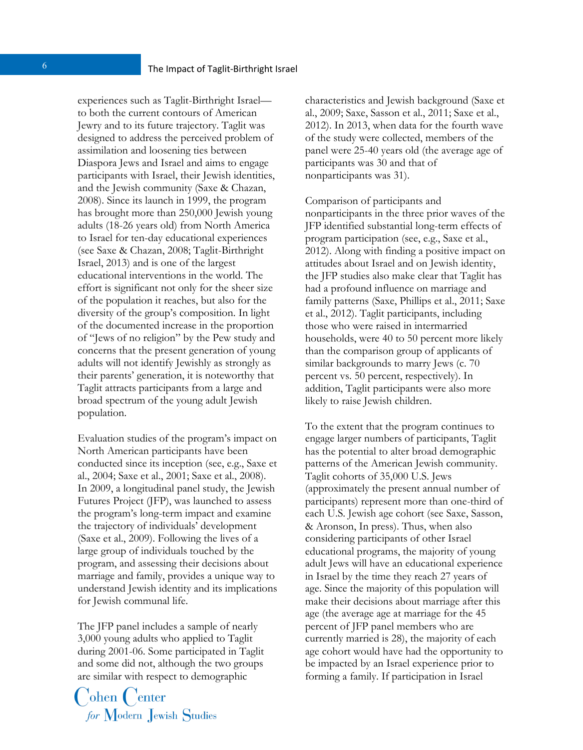experiences such as Taglit-Birthright Israel to both the current contours of American Jewry and to its future trajectory. Taglit was designed to address the perceived problem of assimilation and loosening ties between Diaspora Jews and Israel and aims to engage participants with Israel, their Jewish identities, and the Jewish community (Saxe & Chazan, 2008). Since its launch in 1999, the program has brought more than 250,000 Jewish young adults (18-26 years old) from North America to Israel for ten-day educational experiences (see Saxe & Chazan, 2008; Taglit-Birthright Israel, 2013) and is one of the largest educational interventions in the world. The effort is significant not only for the sheer size of the population it reaches, but also for the diversity of the group's composition. In light of the documented increase in the proportion of "Jews of no religion" by the Pew study and concerns that the present generation of young adults will not identify Jewishly as strongly as their parents' generation, it is noteworthy that Taglit attracts participants from a large and broad spectrum of the young adult Jewish population.

Evaluation studies of the program's impact on North American participants have been conducted since its inception (see, e.g., Saxe et al., 2004; Saxe et al., 2001; Saxe et al., 2008). In 2009, a longitudinal panel study, the Jewish Futures Project (JFP), was launched to assess the program's long-term impact and examine the trajectory of individuals' development (Saxe et al., 2009). Following the lives of a large group of individuals touched by the program, and assessing their decisions about marriage and family, provides a unique way to understand Jewish identity and its implications for Jewish communal life.

The JFP panel includes a sample of nearly 3,000 young adults who applied to Taglit during 2001-06. Some participated in Taglit and some did not, although the two groups are similar with respect to demographic

 $\label{eq:coher} \textbf{C}^\text{ohen} \; \textbf{C}^\text{enter}$ for Modern Jewish Studies characteristics and Jewish background (Saxe et al., 2009; Saxe, Sasson et al., 2011; Saxe et al., 2012). In 2013, when data for the fourth wave of the study were collected, members of the panel were 25-40 years old (the average age of participants was 30 and that of nonparticipants was 31).

Comparison of participants and nonparticipants in the three prior waves of the JFP identified substantial long-term effects of program participation (see, e.g., Saxe et al., 2012). Along with finding a positive impact on attitudes about Israel and on Jewish identity, the JFP studies also make clear that Taglit has had a profound influence on marriage and family patterns (Saxe, Phillips et al., 2011; Saxe et al., 2012). Taglit participants, including those who were raised in intermarried households, were 40 to 50 percent more likely than the comparison group of applicants of similar backgrounds to marry Jews (c. 70) percent vs. 50 percent, respectively). In addition, Taglit participants were also more likely to raise Jewish children.

To the extent that the program continues to engage larger numbers of participants, Taglit has the potential to alter broad demographic patterns of the American Jewish community. Taglit cohorts of 35,000 U.S. Jews (approximately the present annual number of participants) represent more than one-third of each U.S. Jewish age cohort (see Saxe, Sasson, & Aronson, In press). Thus, when also considering participants of other Israel educational programs, the majority of young adult Jews will have an educational experience in Israel by the time they reach 27 years of age. Since the majority of this population will make their decisions about marriage after this age (the average age at marriage for the 45 percent of JFP panel members who are currently married is 28), the majority of each age cohort would have had the opportunity to be impacted by an Israel experience prior to forming a family. If participation in Israel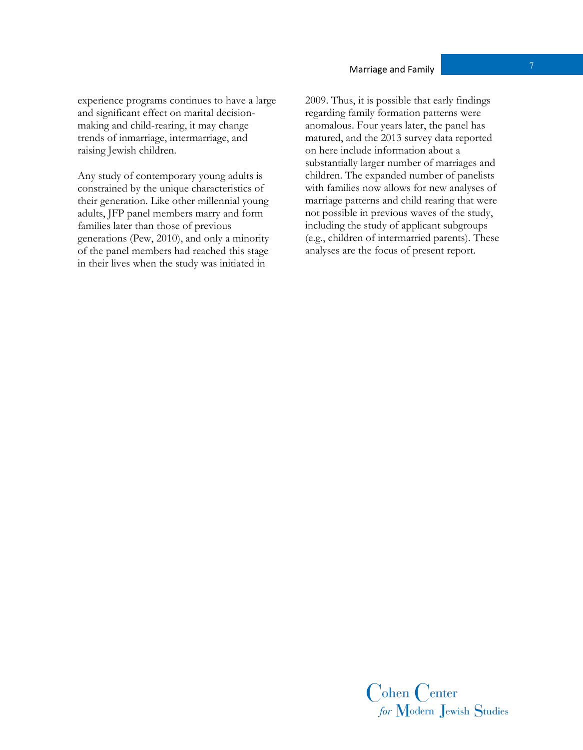### Marriage and Family **7 Marriage and Family 7**

experience programs continues to have a large and significant effect on marital decisionmaking and child-rearing, it may change trends of inmarriage, intermarriage, and raising Jewish children.

Any study of contemporary young adults is constrained by the unique characteristics of their generation. Like other millennial young adults, JFP panel members marry and form families later than those of previous generations (Pew, 2010), and only a minority of the panel members had reached this stage in their lives when the study was initiated in

2009. Thus, it is possible that early findings regarding family formation patterns were anomalous. Four years later, the panel has matured, and the 2013 survey data reported on here include information about a substantially larger number of marriages and children. The expanded number of panelists with families now allows for new analyses of marriage patterns and child rearing that were not possible in previous waves of the study, including the study of applicant subgroups (e.g., children of intermarried parents). These analyses are the focus of present report.

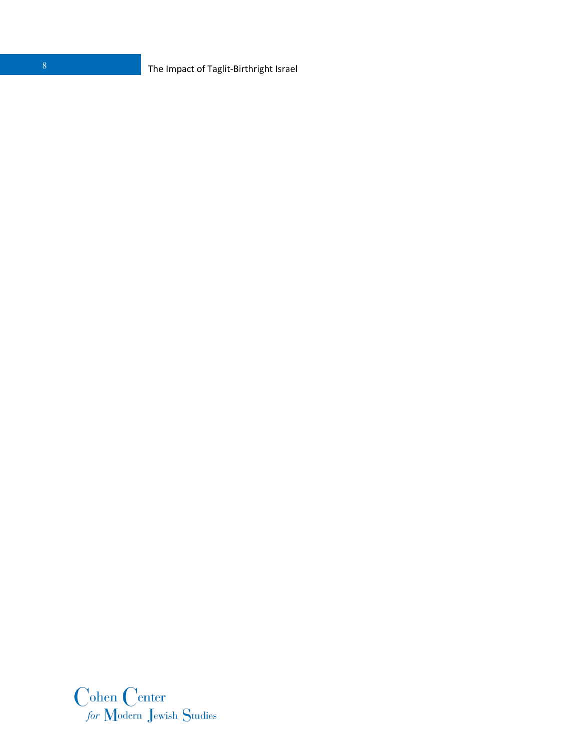8 **8 The Impact of Taglit-Birthright Israel The Impact of Taglit-Birthright Israel** 

Cohen Center<br>*for* Modern Jewish Studies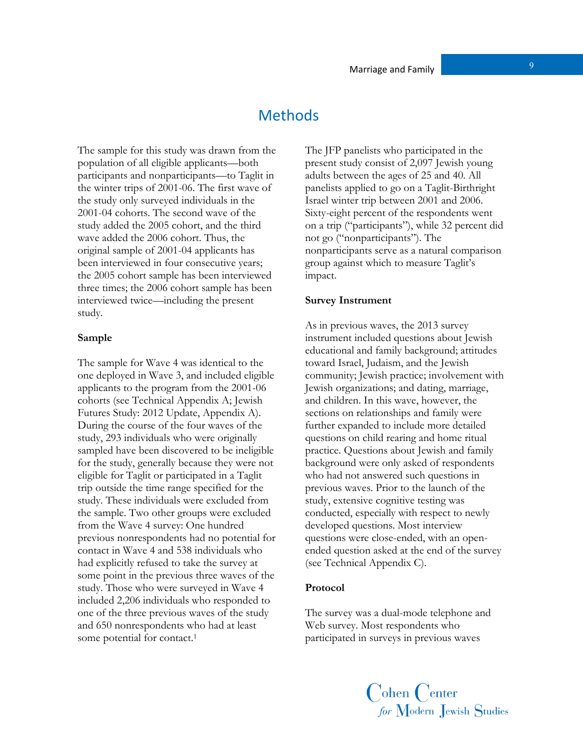# Methods

The sample for this study was drawn from the population of all eligible applicants—both participants and nonparticipants—to Taglit in the winter trips of 2001-06. The first wave of the study only surveyed individuals in the 2001-04 cohorts. The second wave of the study added the 2005 cohort, and the third wave added the 2006 cohort. Thus, the original sample of 2001-04 applicants has been interviewed in four consecutive years; the 2005 cohort sample has been interviewed three times; the 2006 cohort sample has been interviewed twice—including the present study.

#### **Sample**

The sample for Wave 4 was identical to the one deployed in Wave 3, and included eligible applicants to the program from the 2001-06 cohorts (see Technical Appendix A; Jewish Futures Study: 2012 Update, Appendix A). During the course of the four waves of the study, 293 individuals who were originally sampled have been discovered to be ineligible for the study, generally because they were not eligible for Taglit or participated in a Taglit trip outside the time range specified for the study. These individuals were excluded from the sample. Two other groups were excluded from the Wave 4 survey: One hundred previous nonrespondents had no potential for contact in Wave 4 and 538 individuals who had explicitly refused to take the survey at some point in the previous three waves of the study. Those who were surveyed in Wave 4 included 2,206 individuals who responded to one of the three previous waves of the study and 650 nonrespondents who had at least some potential for contact.<sup>1</sup>

The JFP panelists who participated in the present study consist of 2,097 Jewish young adults between the ages of 25 and 40. All panelists applied to go on a Taglit-Birthright Israel winter trip between 2001 and 2006. Sixty-eight percent of the respondents went on a trip ("participants"), while 32 percent did not go ("nonparticipants"). The nonparticipants serve as a natural comparison group against which to measure Taglit's impact.

#### **Survey Instrument**

As in previous waves, the 2013 survey instrument included questions about Jewish educational and family background; attitudes toward Israel, Judaism, and the Jewish community; Jewish practice; involvement with Jewish organizations; and dating, marriage, and children. In this wave, however, the sections on relationships and family were further expanded to include more detailed questions on child rearing and home ritual practice. Questions about Jewish and family background were only asked of respondents who had not answered such questions in previous waves. Prior to the launch of the study, extensive cognitive testing was conducted, especially with respect to newly developed questions. Most interview questions were close-ended, with an openended question asked at the end of the survey (see Technical Appendix C).

#### **Protocol**

The survey was a dual-mode telephone and Web survey. Most respondents who participated in surveys in previous waves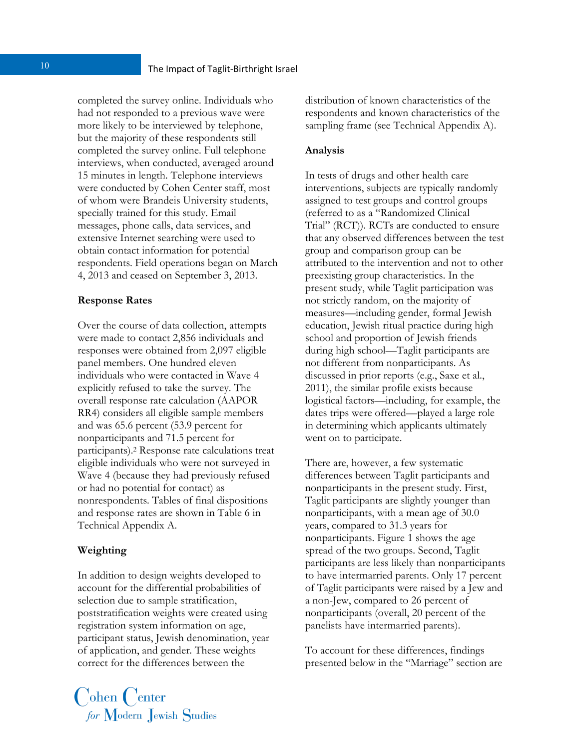completed the survey online. Individuals who had not responded to a previous wave were more likely to be interviewed by telephone, but the majority of these respondents still completed the survey online. Full telephone interviews, when conducted, averaged around 15 minutes in length. Telephone interviews were conducted by Cohen Center staff, most of whom were Brandeis University students, specially trained for this study. Email messages, phone calls, data services, and extensive Internet searching were used to obtain contact information for potential respondents. Field operations began on March 4, 2013 and ceased on September 3, 2013.

#### **Response Rates**

Over the course of data collection, attempts were made to contact 2,856 individuals and responses were obtained from 2,097 eligible panel members. One hundred eleven individuals who were contacted in Wave 4 explicitly refused to take the survey. The overall response rate calculation (AAPOR RR4) considers all eligible sample members and was 65.6 percent (53.9 percent for nonparticipants and 71.5 percent for participants).<sup>2</sup> Response rate calculations treat eligible individuals who were not surveyed in Wave 4 (because they had previously refused or had no potential for contact) as nonrespondents. Tables of final dispositions and response rates are shown in Table 6 in Technical Appendix A.

#### **Weighting**

In addition to design weights developed to account for the differential probabilities of selection due to sample stratification, poststratification weights were created using registration system information on age, participant status, Jewish denomination, year of application, and gender. These weights correct for the differences between the

distribution of known characteristics of the respondents and known characteristics of the sampling frame (see Technical Appendix A).

#### **Analysis**

In tests of drugs and other health care interventions, subjects are typically randomly assigned to test groups and control groups (referred to as a "Randomized Clinical Trial" (RCT)). RCTs are conducted to ensure that any observed differences between the test group and comparison group can be attributed to the intervention and not to other preexisting group characteristics. In the present study, while Taglit participation was not strictly random, on the majority of measures—including gender, formal Jewish education, Jewish ritual practice during high school and proportion of Jewish friends during high school—Taglit participants are not different from nonparticipants. As discussed in prior reports (e.g., Saxe et al., 2011), the similar profile exists because logistical factors—including, for example, the dates trips were offered—played a large role in determining which applicants ultimately went on to participate.

There are, however, a few systematic differences between Taglit participants and nonparticipants in the present study. First, Taglit participants are slightly younger than nonparticipants, with a mean age of 30.0 years, compared to 31.3 years for nonparticipants. Figure 1 shows the age spread of the two groups. Second, Taglit participants are less likely than nonparticipants to have intermarried parents. Only 17 percent of Taglit participants were raised by a Jew and a non-Jew, compared to 26 percent of nonparticipants (overall, 20 percent of the panelists have intermarried parents).

To account for these differences, findings presented below in the "Marriage" section are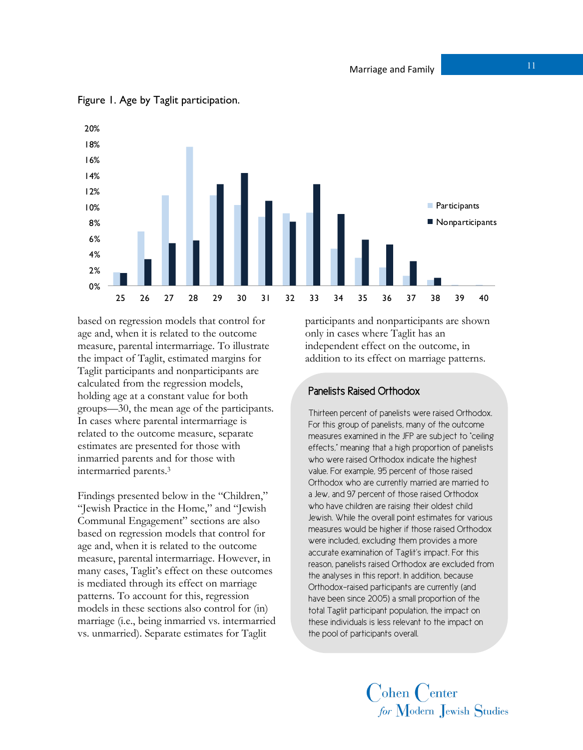

Figure 1. Age by Taglit participation.

based on regression models that control for age and, when it is related to the outcome measure, parental intermarriage. To illustrate the impact of Taglit, estimated margins for Taglit participants and nonparticipants are calculated from the regression models, holding age at a constant value for both groups—30, the mean age of the participants. In cases where parental intermarriage is related to the outcome measure, separate estimates are presented for those with inmarried parents and for those with intermarried parents.<sup>3</sup>

Findings presented below in the "Children," "Jewish Practice in the Home," and "Jewish Communal Engagement" sections are also based on regression models that control for age and, when it is related to the outcome measure, parental intermarriage. However, in many cases, Taglit's effect on these outcomes is mediated through its effect on marriage patterns. To account for this, regression models in these sections also control for (in) marriage (i.e., being inmarried vs. intermarried vs. unmarried). Separate estimates for Taglit

participants and nonparticipants are shown only in cases where Taglit has an independent effect on the outcome, in addition to its effect on marriage patterns.

#### Panelists Raised Orthodox

Thirteen percent of panelists were raised Orthodox. For this group of panelists, many of the outcome measures examined in the JFP are subject to "ceiling effects," meaning that a high proportion of panelists who were raised Orthodox indicate the highest value. For example, 95 percent of those raised Orthodox who are currently married are married to a Jew, and 97 percent of those raised Orthodox who have children are raising their oldest child Jewish. While the overall point estimates for various measures would be higher if those raised Orthodox were included, excluding them provides a more accurate examination of Taglit's impact. For this reason, panelists raised Orthodox are excluded from the analyses in this report. In addition, because Orthodox-raised participants are currently (and have been since 2005) a small proportion of the total Taglit participant population, the impact on these individuals is less relevant to the impact on the pool of participants overall.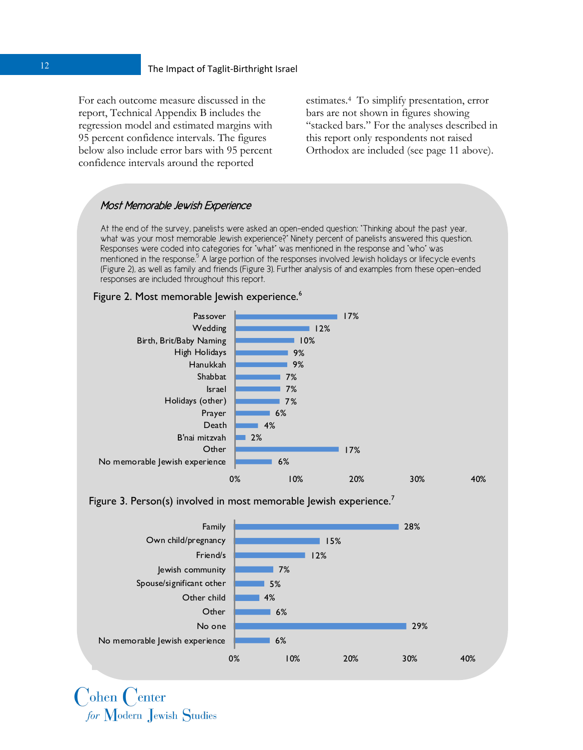For each outcome measure discussed in the report, Technical Appendix B includes the regression model and estimated margins with 95 percent confidence intervals. The figures below also include error bars with 95 percent confidence intervals around the reported

estimates.4 To simplify presentation, error bars are not shown in figures showing "stacked bars." For the analyses described in this report only respondents not raised Orthodox are included (see page 11 above).

#### Most Memorable Jewish Experience

At the end of the survey, panelists were asked an open-ended question: "Thinking about the past year, what was your most memorable Jewish experience?" Ninety percent of panelists answered this question. Responses were coded into categories for "what" was mentioned in the response and "who" was mentioned in the response.<sup>5</sup> A large portion of the responses involved Jewish holidays or lifecycle events (Figure 2), as well as family and friends (Figure 3). Further analysis of and examples from these open-ended responses are included throughout this report.

#### Figure 2. Most memorable Jewish experience.<sup>6</sup>







 $\bigcirc$ ohen  $\bigcirc$ enter *for* Modern Tewish Studies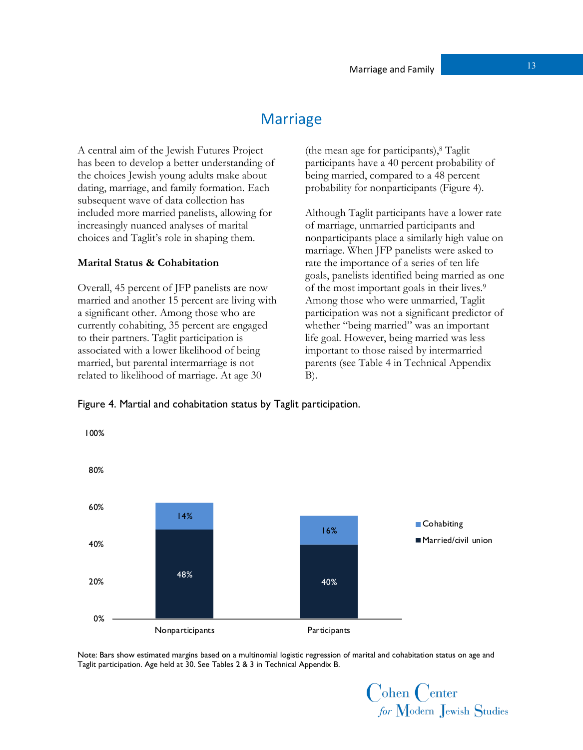## Marriage

A central aim of the Jewish Futures Project has been to develop a better understanding of the choices Jewish young adults make about dating, marriage, and family formation. Each subsequent wave of data collection has included more married panelists, allowing for increasingly nuanced analyses of marital choices and Taglit's role in shaping them.

#### **Marital Status & Cohabitation**

Overall, 45 percent of JFP panelists are now married and another 15 percent are living with a significant other. Among those who are currently cohabiting, 35 percent are engaged to their partners. Taglit participation is associated with a lower likelihood of being married, but parental intermarriage is not related to likelihood of marriage. At age 30

(the mean age for participants),<sup>8</sup> Taglit participants have a 40 percent probability of being married, compared to a 48 percent probability for nonparticipants (Figure 4).

Although Taglit participants have a lower rate of marriage, unmarried participants and nonparticipants place a similarly high value on marriage. When JFP panelists were asked to rate the importance of a series of ten life goals, panelists identified being married as one of the most important goals in their lives.<sup>9</sup> Among those who were unmarried, Taglit participation was not a significant predictor of whether "being married" was an important life goal. However, being married was less important to those raised by intermarried parents (see Table 4 in Technical Appendix B).





Note: Bars show estimated margins based on a multinomial logistic regression of marital and cohabitation status on age and Taglit participation. Age held at 30. See Tables 2 & 3 in Technical Appendix B.

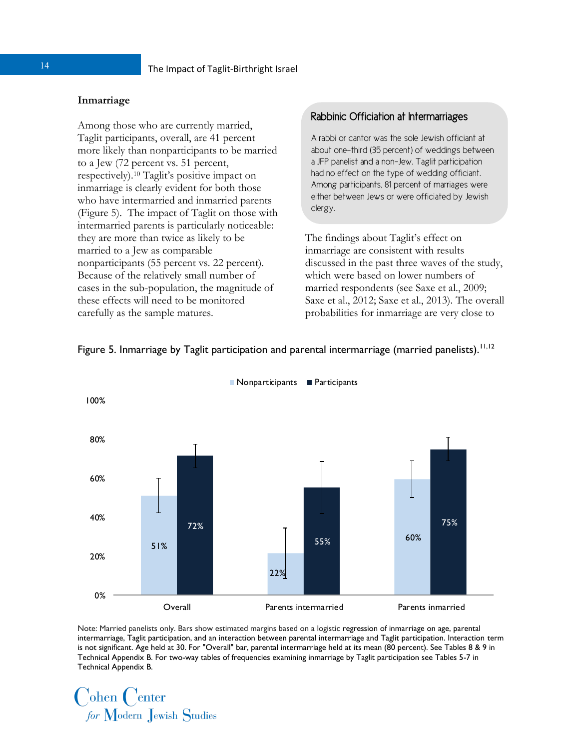#### **Inmarriage**

Among those who are currently married, Taglit participants, overall, are 41 percent more likely than nonparticipants to be married to a Jew (72 percent vs. 51 percent, respectively).<sup>10</sup> Taglit's positive impact on inmarriage is clearly evident for both those who have intermarried and inmarried parents (Figure 5). The impact of Taglit on those with intermarried parents is particularly noticeable: they are more than twice as likely to be married to a Jew as comparable nonparticipants (55 percent vs. 22 percent). Because of the relatively small number of cases in the sub-population, the magnitude of these effects will need to be monitored carefully as the sample matures.

#### Rabbinic Officiation at Intermarriages

A rabbi or cantor was the sole Jewish officiant at about one-third (35 percent) of weddings between a JFP panelist and a non-Jew. Taglit participation had no effect on the type of wedding officiant. Among participants, 81 percent of marriages were either between Jews or were officiated by Jewish clergy.

The findings about Taglit's effect on inmarriage are consistent with results discussed in the past three waves of the study, which were based on lower numbers of married respondents (see Saxe et al., 2009; Saxe et al., 2012; Saxe et al., 2013). The overall probabilities for inmarriage are very close to



### Figure 5. Inmarriage by Taglit participation and parental intermarriage (married panelists).<sup>11,12</sup>

Note: Married panelists only. Bars show estimated margins based on a logistic regression of inmarriage on age, parental intermarriage, Taglit participation, and an interaction between parental intermarriage and Taglit participation. Interaction term is not significant. Age held at 30. For "Overall" bar, parental intermarriage held at its mean (80 percent). See Tables 8 & 9 in Technical Appendix B. For two-way tables of frequencies examining inmarriage by Taglit participation see Tables 5-7 in Technical Appendix B.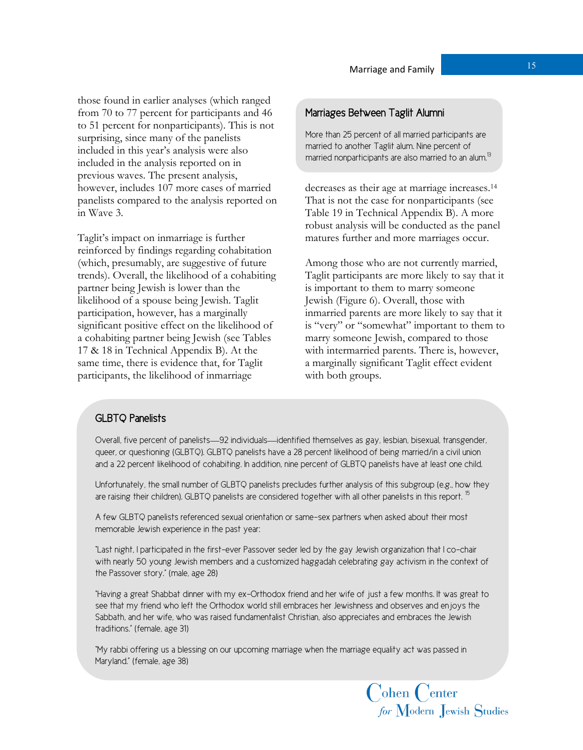those found in earlier analyses (which ranged from 70 to 77 percent for participants and 46 to 51 percent for nonparticipants). This is not surprising, since many of the panelists included in this year's analysis were also included in the analysis reported on in previous waves. The present analysis, however, includes 107 more cases of married panelists compared to the analysis reported on in Wave 3.

Taglit's impact on inmarriage is further reinforced by findings regarding cohabitation (which, presumably, are suggestive of future trends). Overall, the likelihood of a cohabiting partner being Jewish is lower than the likelihood of a spouse being Jewish. Taglit participation, however, has a marginally significant positive effect on the likelihood of a cohabiting partner being Jewish (see Tables 17 & 18 in Technical Appendix B). At the same time, there is evidence that, for Taglit participants, the likelihood of inmarriage

#### Marriages Between Taglit Alumni

More than 25 percent of all married participants are married to another Taglit alum. Nine percent of married nonparticipants are also married to an alum.<sup>13</sup>

decreases as their age at marriage increases.<sup>14</sup> That is not the case for nonparticipants (see Table 19 in Technical Appendix B). A more robust analysis will be conducted as the panel matures further and more marriages occur.

Among those who are not currently married, Taglit participants are more likely to say that it is important to them to marry someone Jewish (Figure 6). Overall, those with inmarried parents are more likely to say that it is "very" or "somewhat" important to them to marry someone Jewish, compared to those with intermarried parents. There is, however, a marginally significant Taglit effect evident with both groups.

#### GLBTQ Panelists

Overall, five percent of panelists—92 individuals—identified themselves as gay, lesbian, bisexual, transgender, queer, or questioning (GLBTQ). GLBTQ panelists have a 28 percent likelihood of being married/in a civil union and a 22 percent likelihood of cohabiting. In addition, nine percent of GLBTQ panelists have at least one child.

Unfortunately, the small number of GLBTQ panelists precludes further analysis of this subgroup (e.g., how they are raising their children). GLBTQ panelists are considered together with all other panelists in this report. <sup>15</sup>

A few GLBTQ panelists referenced sexual orientation or same-sex partners when asked about their most memorable Jewish experience in the past year:

"Last night, I participated in the first-ever Passover seder led by the gay Jewish organization that I co-chair with nearly 50 young Jewish members and a customized haggadah celebrating gay activism in the context of the Passover story." (male, age 28)

"Having a great Shabbat dinner with my ex-Orthodox friend and her wife of just a few months. It was great to see that my friend who left the Orthodox world still embraces her Jewishness and observes and enjoys the Sabbath, and her wife, who was raised fundamentalist Christian, also appreciates and embraces the Jewish traditions." (female, age 31)

"My rabbi offering us a blessing on our upcoming marriage when the marriage equality act was passed in Maryland." (female, age 38)

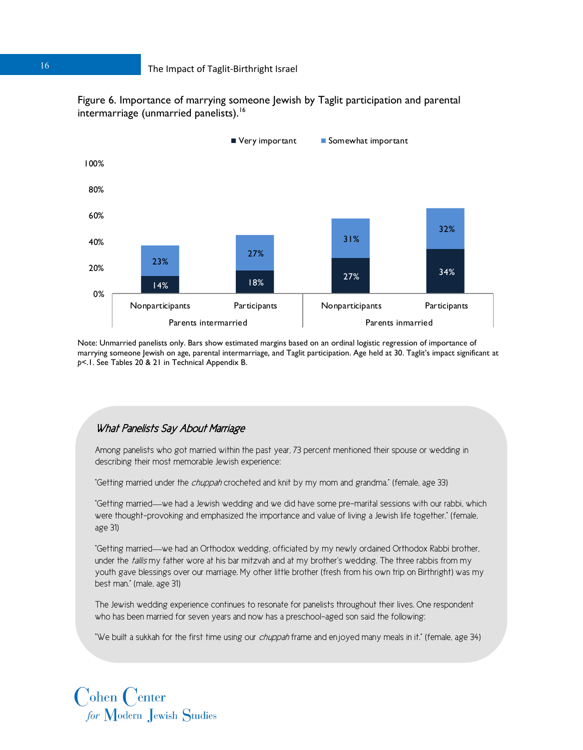#### 16 **The Impact of Taglit-Birthright Israel**

Figure 6. Importance of marrying someone Jewish by Taglit participation and parental intermarriage (unmarried panelists).<sup>16</sup>



Note: Unmarried panelists only. Bars show estimated margins based on an ordinal logistic regression of importance of marrying someone Jewish on age, parental intermarriage, and Taglit participation. Age held at 30. Taglit's impact significant at *p*<.1. See Tables 20 & 21 in Technical Appendix B.

#### What Panelists Say About Marriage

Among panelists who got married within the past year, 73 percent mentioned their spouse or wedding in describing their most memorable Jewish experience:

"Getting married under the *chuppah* crocheted and knit by my mom and grandma." (female, age 33)

"Getting married—we had a Jewish wedding and we did have some pre-marital sessions with our rabbi, which were thought-provoking and emphasized the importance and value of living a Jewish life together." (female, age 31)

"Getting married—we had an Orthodox wedding, officiated by my newly ordained Orthodox Rabbi brother, under the *tallis* my father wore at his bar mitzvah and at my brother's wedding. The three rabbis from my youth gave blessings over our marriage. My other little brother (fresh from his own trip on Birthright) was my best man." (male, age 31)

The Jewish wedding experience continues to resonate for panelists throughout their lives. One respondent who has been married for seven years and now has a preschool-aged son said the following:

"We built a sukkah for the first time using our *chuppah* frame and enjoyed many meals in it." (female, age 34)

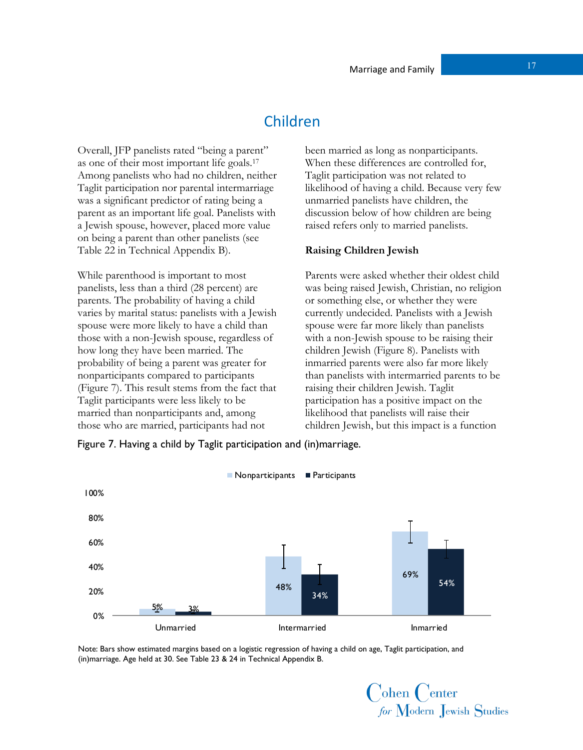# Children

Overall, JFP panelists rated "being a parent" as one of their most important life goals.<sup>17</sup> Among panelists who had no children, neither Taglit participation nor parental intermarriage was a significant predictor of rating being a parent as an important life goal. Panelists with a Jewish spouse, however, placed more value on being a parent than other panelists (see Table 22 in Technical Appendix B).

While parenthood is important to most panelists, less than a third (28 percent) are parents. The probability of having a child varies by marital status: panelists with a Jewish spouse were more likely to have a child than those with a non-Jewish spouse, regardless of how long they have been married. The probability of being a parent was greater for nonparticipants compared to participants (Figure 7). This result stems from the fact that Taglit participants were less likely to be married than nonparticipants and, among those who are married, participants had not

been married as long as nonparticipants. When these differences are controlled for, Taglit participation was not related to likelihood of having a child. Because very few unmarried panelists have children, the discussion below of how children are being raised refers only to married panelists.

#### **Raising Children Jewish**

Parents were asked whether their oldest child was being raised Jewish, Christian, no religion or something else, or whether they were currently undecided. Panelists with a Jewish spouse were far more likely than panelists with a non-Jewish spouse to be raising their children Jewish (Figure 8). Panelists with inmarried parents were also far more likely than panelists with intermarried parents to be raising their children Jewish. Taglit participation has a positive impact on the likelihood that panelists will raise their children Jewish, but this impact is a function

Figure 7. Having a child by Taglit participation and (in)marriage.



Note: Bars show estimated margins based on a logistic regression of having a child on age, Taglit participation, and (in)marriage. Age held at 30. See Table 23 & 24 in Technical Appendix B.

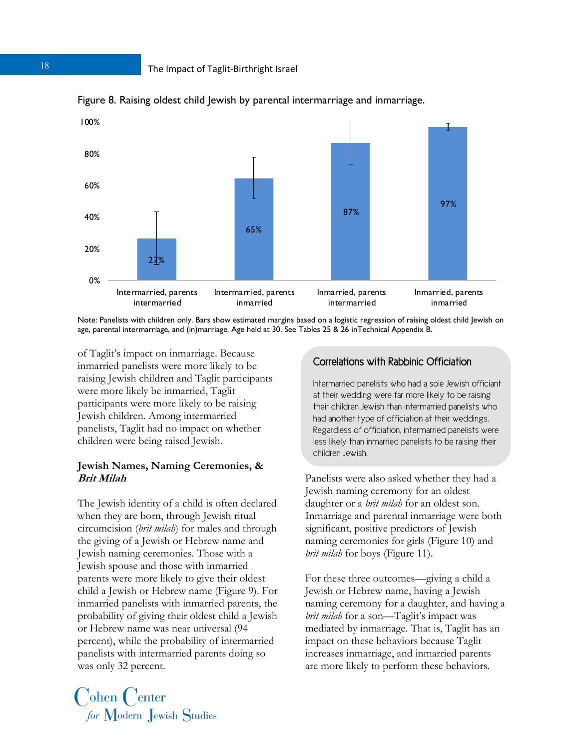18 **The Impact of Taglit-Birthright Israel** 



Figure 8. Raising oldest child Jewish by parental intermarriage and inmarriage.

Note: Panelists with children only. Bars show estimated margins based on a logistic regression of raising oldest child Jewish on age, parental intermarriage, and (in)marriage. Age held at 30. See Tables 25 & 26 inTechnical Appendix B.

of Taglit's impact on inmarriage. Because inmarried panelists were more likely to be raising Jewish children and Taglit participants were more likely be inmarried, Taglit participants were more likely to be raising Jewish children. Among intermarried panelists, Taglit had no impact on whether children were being raised Jewish.

#### **Jewish Names, Naming Ceremonies, & Brit Milah**

The Jewish identity of a child is often declared when they are born, through Jewish ritual circumcision (*brit milah*) for males and through the giving of a Jewish or Hebrew name and Jewish naming ceremonies. Those with a Jewish spouse and those with inmarried parents were more likely to give their oldest child a Jewish or Hebrew name (Figure 9). For inmarried panelists with inmarried parents, the probability of giving their oldest child a Jewish or Hebrew name was near universal (94 percent), while the probability of intermarried panelists with intermarried parents doing so was only 32 percent.

#### Correlations with Rabbinic Officiation

Intermarried panelists who had a sole Jewish officiant at their wedding were far more likely to be raising their children Jewish than intermarried panelists who had another type of officiation at their weddings. Regardless of officiation, intermarried panelists were less likely than inmarried panelists to be raising their children Jewish.

Panelists were also asked whether they had a Jewish naming ceremony for an oldest daughter or a *brit milah* for an oldest son. Inmarriage and parental inmarriage were both significant, positive predictors of Jewish naming ceremonies for girls (Figure 10) and *brit milah* for boys (Figure 11).

For these three outcomes—giving a child a Jewish or Hebrew name, having a Jewish naming ceremony for a daughter, and having a *brit milah* for a son—Taglit's impact was mediated by inmarriage. That is, Taglit has an impact on these behaviors because Taglit increases inmarriage, and inmarried parents are more likely to perform these behaviors.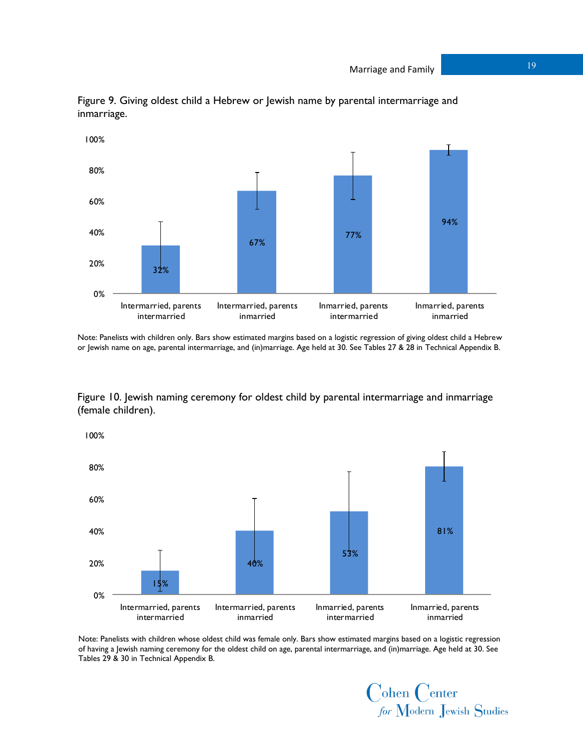

Figure 9. Giving oldest child a Hebrew or Jewish name by parental intermarriage and inmarriage.

Note: Panelists with children only. Bars show estimated margins based on a logistic regression of giving oldest child a Hebrew or Jewish name on age, parental intermarriage, and (in)marriage. Age held at 30. See Tables 27 & 28 in Technical Appendix B.

Figure 10. Jewish naming ceremony for oldest child by parental intermarriage and inmarriage (female children).



Note: Panelists with children whose oldest child was female only. Bars show estimated margins based on a logistic regression of having a Jewish naming ceremony for the oldest child on age, parental intermarriage, and (in)marriage. Age held at 30. See Tables 29 & 30 in Technical Appendix B.

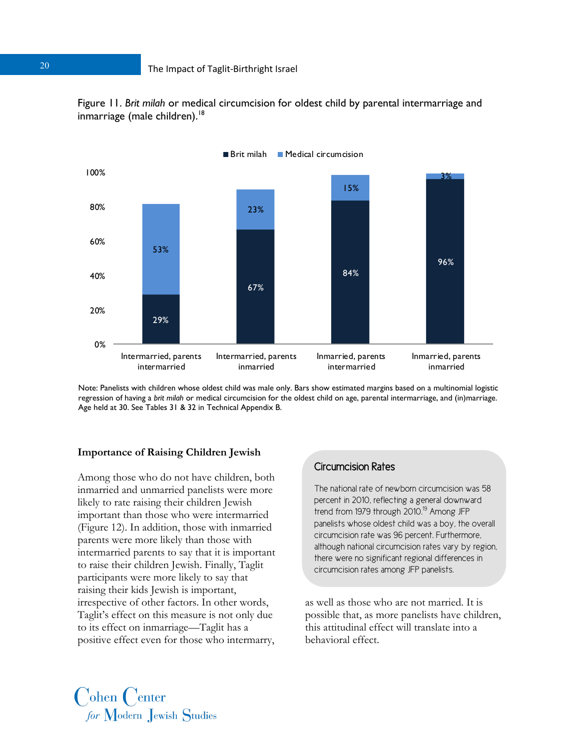Figure 11. *Brit milah* or medical circumcision for oldest child by parental intermarriage and inmarriage (male children).<sup>18</sup>



Note: Panelists with children whose oldest child was male only. Bars show estimated margins based on a multinomial logistic regression of having a *brit milah* or medical circumcision for the oldest child on age, parental intermarriage, and (in)marriage. Age held at 30. See Tables 31 & 32 in Technical Appendix B.

#### **Importance of Raising Children Jewish**

Among those who do not have children, both inmarried and unmarried panelists were more likely to rate raising their children Jewish important than those who were intermarried (Figure 12). In addition, those with inmarried parents were more likely than those with intermarried parents to say that it is important to raise their children Jewish. Finally, Taglit participants were more likely to say that raising their kids Jewish is important, irrespective of other factors. In other words, Taglit's effect on this measure is not only due to its effect on inmarriage—Taglit has a positive effect even for those who intermarry,

#### Circumcision Rates

The national rate of newborn circumcision was 58 percent in 2010, reflecting a general downward trend from 1979 through 2010.<sup>19</sup> Among JFP panelists whose oldest child was a boy, the overall circumcision rate was 96 percent. Furthermore, although national circumcision rates vary by region, there were no significant regional differences in circumcision rates among JFP panelists.

as well as those who are not married. It is possible that, as more panelists have children, this attitudinal effect will translate into a behavioral effect.

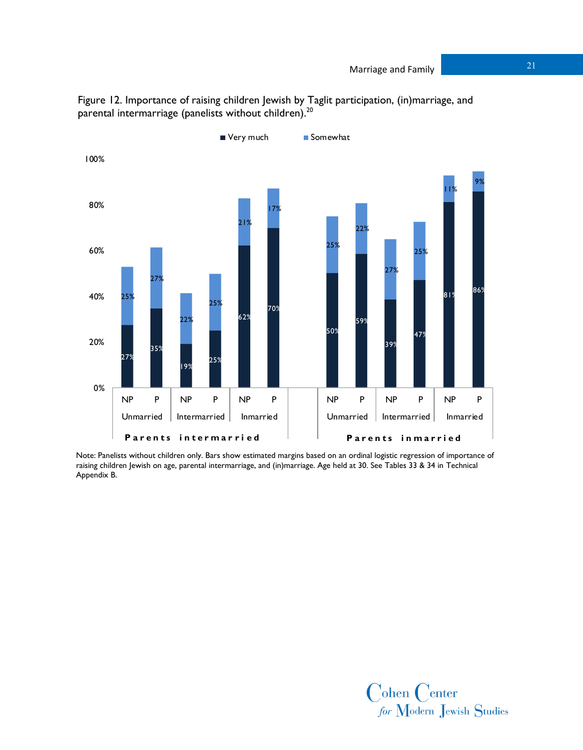Marriage and Family **21 21** 



Figure 12. Importance of raising children Jewish by Taglit participation, (in)marriage, and parental intermarriage (panelists without children).<sup>20</sup>

Note: Panelists without children only. Bars show estimated margins based on an ordinal logistic regression of importance of raising children Jewish on age, parental intermarriage, and (in)marriage. Age held at 30. See Tables 33 & 34 in Technical Appendix B.

 $\label{eq:coher} \textbf{C}^\text{ohen} \xspace \textbf{C}^\text{enter}$ for Modern Jewish Studies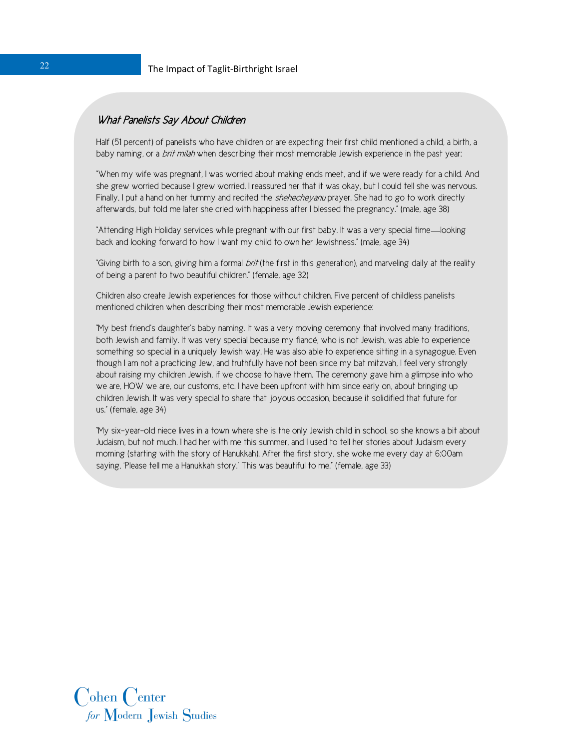#### What Panelists Say About Children

Half (51 percent) of panelists who have children or are expecting their first child mentioned a child, a birth, a baby naming, or a *brit milah* when describing their most memorable Jewish experience in the past year:

"When my wife was pregnant, I was worried about making ends meet, and if we were ready for a child. And she grew worried because I grew worried. I reassured her that it was okay, but I could tell she was nervous. Finally, I put a hand on her tummy and recited the *shehecheyanu* prayer. She had to go to work directly afterwards, but told me later she cried with happiness after I blessed the pregnancy." (male, age 38)

"Attending High Holiday services while pregnant with our first baby. It was a very special time—looking back and looking forward to how I want my child to own her Jewishness." (male, age 34)

"Giving birth to a son, giving him a formal brit (the first in this generation), and marveling daily at the reality of being a parent to two beautiful children." (female, age 32)

Children also create Jewish experiences for those without children. Five percent of childless panelists mentioned children when describing their most memorable Jewish experience:

"My best friend's daughter's baby naming. It was a very moving ceremony that involved many traditions, both Jewish and family. It was very special because my fiancé, who is not Jewish, was able to experience something so special in a uniquely Jewish way. He was also able to experience sitting in a synagogue. Even though I am not a practicing Jew, and truthfully have not been since my bat mitzvah, I feel very strongly about raising my children Jewish, if we choose to have them. The ceremony gave him a glimpse into who we are, HOW we are, our customs, etc. I have been upfront with him since early on, about bringing up children Jewish. It was very special to share that joyous occasion, because it solidified that future for us." (female, age 34)

"My six-year-old niece lives in a town where she is the only Jewish child in school, so she knows a bit about Judaism, but not much. I had her with me this summer, and I used to tell her stories about Judaism every morning (starting with the story of Hanukkah). After the first story, she woke me every day at 6:00am saying, 'Please tell me a Hanukkah story.' This was beautiful to me." (female, age 33)

 $\bigcirc$ ohen  $\bigcirc$ enter for Modern Tewish Studies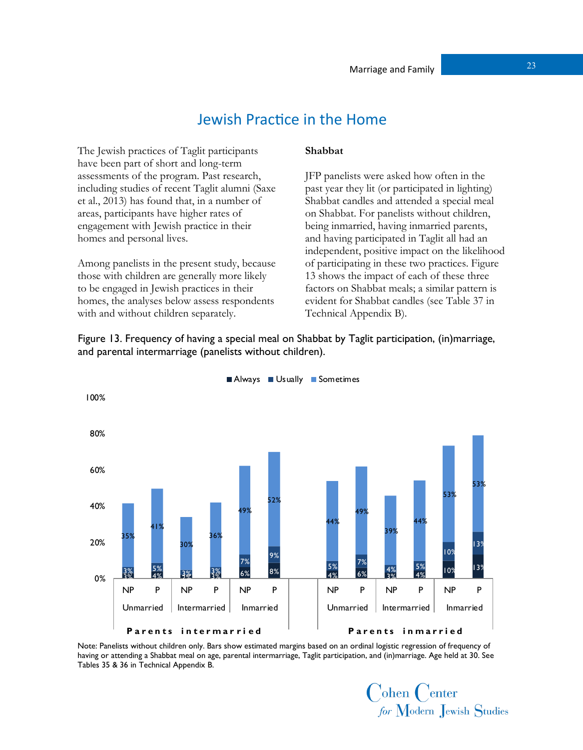# Jewish Practice in the Home

The Jewish practices of Taglit participants have been part of short and long-term assessments of the program. Past research, including studies of recent Taglit alumni (Saxe et al., 2013) has found that, in a number of areas, participants have higher rates of engagement with Jewish practice in their homes and personal lives.

Among panelists in the present study, because those with children are generally more likely to be engaged in Jewish practices in their homes, the analyses below assess respondents with and without children separately.

#### **Shabbat**

JFP panelists were asked how often in the past year they lit (or participated in lighting) Shabbat candles and attended a special meal on Shabbat. For panelists without children, being inmarried, having inmarried parents, and having participated in Taglit all had an independent, positive impact on the likelihood of participating in these two practices. Figure 13 shows the impact of each of these three factors on Shabbat meals; a similar pattern is evident for Shabbat candles (see Table 37 in Technical Appendix B).



Figure 13. Frequency of having a special meal on Shabbat by Taglit participation, (in)marriage, and parental intermarriage (panelists without children).

Note: Panelists without children only. Bars show estimated margins based on an ordinal logistic regression of frequency of having or attending a Shabbat meal on age, parental intermarriage, Taglit participation, and (in)marriage. Age held at 30. See Tables 35 & 36 in Technical Appendix B.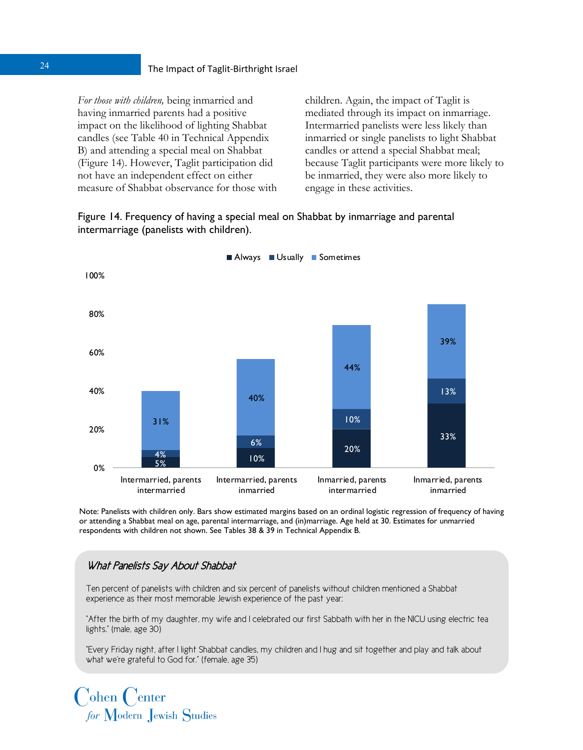*For those with children,* being inmarried and having inmarried parents had a positive impact on the likelihood of lighting Shabbat candles (see Table 40 in Technical Appendix B) and attending a special meal on Shabbat (Figure 14). However, Taglit participation did not have an independent effect on either measure of Shabbat observance for those with children. Again, the impact of Taglit is mediated through its impact on inmarriage. Intermarried panelists were less likely than inmarried or single panelists to light Shabbat candles or attend a special Shabbat meal; because Taglit participants were more likely to be inmarried, they were also more likely to engage in these activities.





Note: Panelists with children only. Bars show estimated margins based on an ordinal logistic regression of frequency of having or attending a Shabbat meal on age, parental intermarriage, and (in)marriage. Age held at 30. Estimates for unmarried respondents with children not shown. See Tables 38 & 39 in Technical Appendix B.

### What Panelists Say About Shabbat

Ten percent of panelists with children and six percent of panelists without children mentioned a Shabbat experience as their most memorable Jewish experience of the past year:

"After the birth of my daughter, my wife and I celebrated our first Sabbath with her in the NICU using electric tea lights." (male, age 30)

"Every Friday night, after I light Shabbat candles, my children and I hug and sit together and play and talk about what we're grateful to God for." (female, age 35)

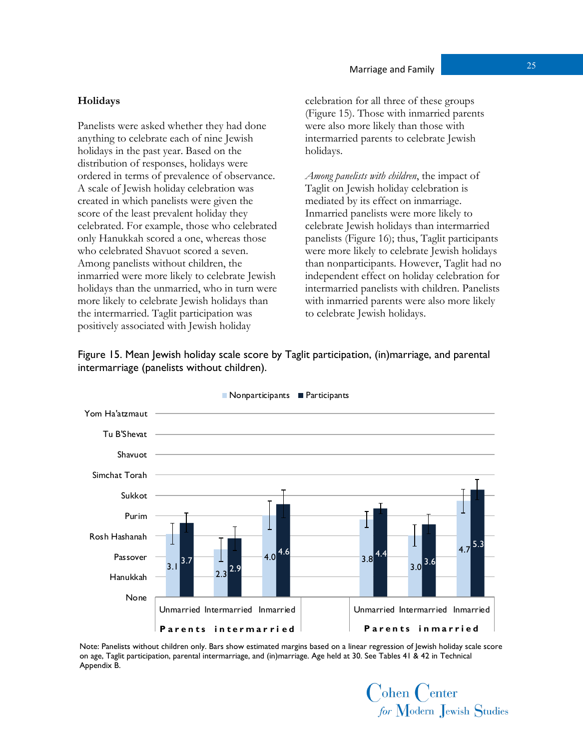### Marriage and Family **25** 25

**Holidays**

Panelists were asked whether they had done anything to celebrate each of nine Jewish holidays in the past year. Based on the distribution of responses, holidays were ordered in terms of prevalence of observance. A scale of Jewish holiday celebration was created in which panelists were given the score of the least prevalent holiday they celebrated. For example, those who celebrated only Hanukkah scored a one, whereas those who celebrated Shavuot scored a seven. Among panelists without children, the inmarried were more likely to celebrate Jewish holidays than the unmarried, who in turn were more likely to celebrate Jewish holidays than the intermarried. Taglit participation was positively associated with Jewish holiday

celebration for all three of these groups (Figure 15). Those with inmarried parents were also more likely than those with intermarried parents to celebrate Jewish holidays.

*Among panelists with children*, the impact of Taglit on Jewish holiday celebration is mediated by its effect on inmarriage. Inmarried panelists were more likely to celebrate Jewish holidays than intermarried panelists (Figure 16); thus, Taglit participants were more likely to celebrate Jewish holidays than nonparticipants. However, Taglit had no independent effect on holiday celebration for intermarried panelists with children. Panelists with inmarried parents were also more likely to celebrate Jewish holidays.



Figure 15. Mean Jewish holiday scale score by Taglit participation, (in)marriage, and parental intermarriage (panelists without children).

Note: Panelists without children only. Bars show estimated margins based on a linear regression of Jewish holiday scale score on age, Taglit participation, parental intermarriage, and (in)marriage. Age held at 30. See Tables 41 & 42 in Technical Appendix B.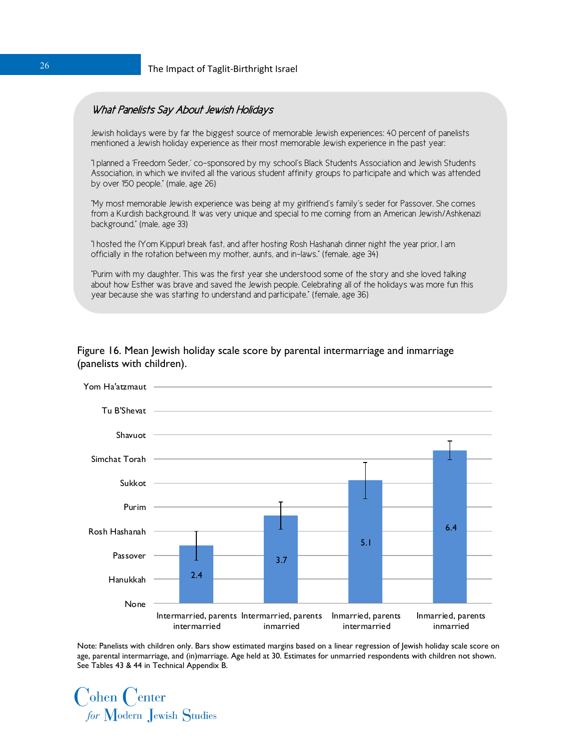#### What Panelists Say About Jewish Holidays

Jewish holidays were by far the biggest source of memorable Jewish experiences: 40 percent of panelists mentioned a Jewish holiday experience as their most memorable Jewish experience in the past year:

"I planned a 'Freedom Seder,' co-sponsored by my school's Black Students Association and Jewish Students Association, in which we invited all the various student affinity groups to participate and which was attended by over 150 people." (male, age 26)

"My most memorable Jewish experience was being at my girlfriend's family's seder for Passover. She comes from a Kurdish background. It was very unique and special to me coming from an American Jewish/Ashkenazi background." (male, age 33)

"I hosted the {Yom Kippur} break fast, and after hosting Rosh Hashanah dinner night the year prior, I am officially in the rotation between my mother, aunts, and in-laws." (female, age 34)

"Purim with my daughter. This was the first year she understood some of the story and she loved talking about how Esther was brave and saved the Jewish people. Celebrating all of the holidays was more fun this year because she was starting to understand and participate." (female, age 36)



Figure 16. Mean Jewish holiday scale score by parental intermarriage and inmarriage (panelists with children).

Note: Panelists with children only. Bars show estimated margins based on a linear regression of Jewish holiday scale score on age, parental intermarriage, and (in)marriage. Age held at 30. Estimates for unmarried respondents with children not shown. See Tables 43 & 44 in Technical Appendix B.

 $\bigcirc$ ohen  $\bigcirc$ enter for Modern Tewish Studies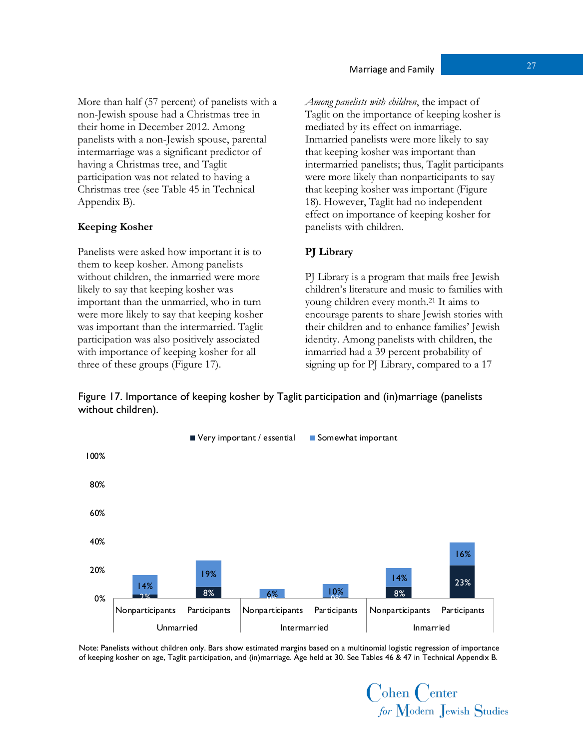More than half (57 percent) of panelists with a non-Jewish spouse had a Christmas tree in their home in December 2012. Among panelists with a non-Jewish spouse, parental intermarriage was a significant predictor of having a Christmas tree, and Taglit participation was not related to having a Christmas tree (see Table 45 in Technical Appendix B).

#### **Keeping Kosher**

Panelists were asked how important it is to them to keep kosher. Among panelists without children, the inmarried were more likely to say that keeping kosher was important than the unmarried, who in turn were more likely to say that keeping kosher was important than the intermarried. Taglit participation was also positively associated with importance of keeping kosher for all three of these groups (Figure 17).

*Among panelists with children*, the impact of Taglit on the importance of keeping kosher is mediated by its effect on inmarriage. Inmarried panelists were more likely to say that keeping kosher was important than intermarried panelists; thus, Taglit participants were more likely than nonparticipants to say that keeping kosher was important (Figure 18). However, Taglit had no independent effect on importance of keeping kosher for panelists with children.

#### **PJ Library**

PJ Library is a program that mails free Jewish children's literature and music to families with young children every month.<sup>21</sup> It aims to encourage parents to share Jewish stories with their children and to enhance families' Jewish identity. Among panelists with children, the inmarried had a 39 percent probability of signing up for PJ Library, compared to a 17

Figure 17. Importance of keeping kosher by Taglit participation and (in)marriage (panelists without children).



Note: Panelists without children only. Bars show estimated margins based on a multinomial logistic regression of importance of keeping kosher on age, Taglit participation, and (in)marriage. Age held at 30. See Tables 46 & 47 in Technical Appendix B.

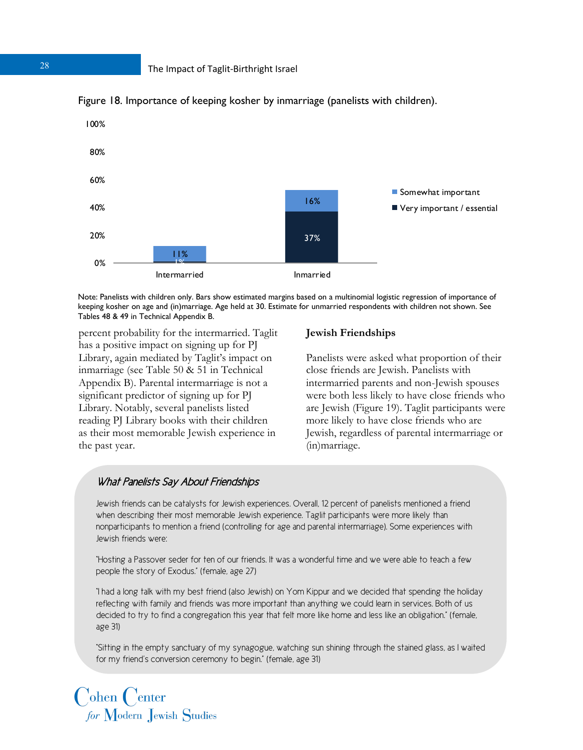**28 The Impact of Taglit-Birthright Israel** 



Figure 18. Importance of keeping kosher by inmarriage (panelists with children).

Note: Panelists with children only. Bars show estimated margins based on a multinomial logistic regression of importance of keeping kosher on age and (in)marriage. Age held at 30. Estimate for unmarried respondents with children not shown. See Tables 48 & 49 in Technical Appendix B.

percent probability for the intermarried. Taglit has a positive impact on signing up for PJ Library, again mediated by Taglit's impact on inmarriage (see Table 50 & 51 in Technical Appendix B). Parental intermarriage is not a significant predictor of signing up for PJ Library. Notably, several panelists listed reading PJ Library books with their children as their most memorable Jewish experience in the past year.

#### **Jewish Friendships**

Panelists were asked what proportion of their close friends are Jewish. Panelists with intermarried parents and non-Jewish spouses were both less likely to have close friends who are Jewish (Figure 19). Taglit participants were more likely to have close friends who are Jewish, regardless of parental intermarriage or (in)marriage.

#### What Panelists Say About Friendships

Jewish friends can be catalysts for Jewish experiences. Overall, 12 percent of panelists mentioned a friend when describing their most memorable Jewish experience. Taglit participants were more likely than nonparticipants to mention a friend (controlling for age and parental intermarriage). Some experiences with Jewish friends were:

"Hosting a Passover seder for ten of our friends. It was a wonderful time and we were able to teach a few people the story of Exodus." (female, age 27)

"I had a long talk with my best friend (also Jewish) on Yom Kippur and we decided that spending the holiday reflecting with family and friends was more important than anything we could learn in services. Both of us decided to try to find a congregation this year that felt more like home and less like an obligation." (female, age 31)

"Sitting in the empty sanctuary of my synagogue, watching sun shining through the stained glass, as I waited for my friend's conversion ceremony to begin." (female, age 31)

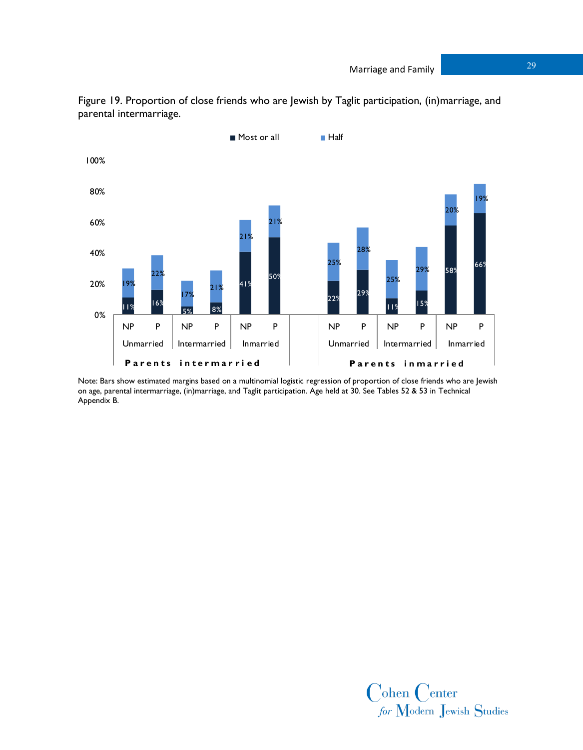Marriage and Family **29** 29



Figure 19. Proportion of close friends who are Jewish by Taglit participation, (in)marriage, and parental intermarriage.

Note: Bars show estimated margins based on a multinomial logistic regression of proportion of close friends who are Jewish on age, parental intermarriage, (in)marriage, and Taglit participation. Age held at 30. See Tables 52 & 53 in Technical Appendix B.

 $\begin{array}{c} \displaystyle \bigodot \text{ohen Center} \\ \textit{for Modern Jewish Studies} \end{array}$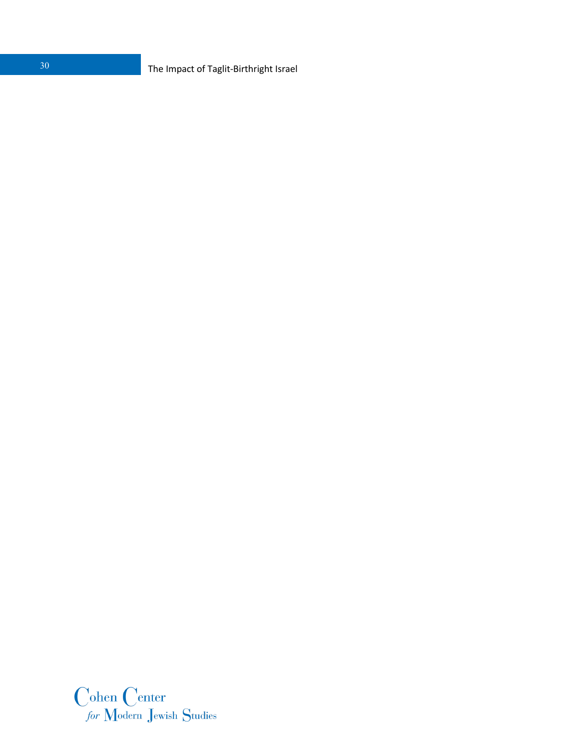**30 The Impact of Taglit-Birthright Israel** 

 $\begin{array}{c} \textbf{Cohen Center} \\ \textit{for Modern Jewish Studies} \end{array}$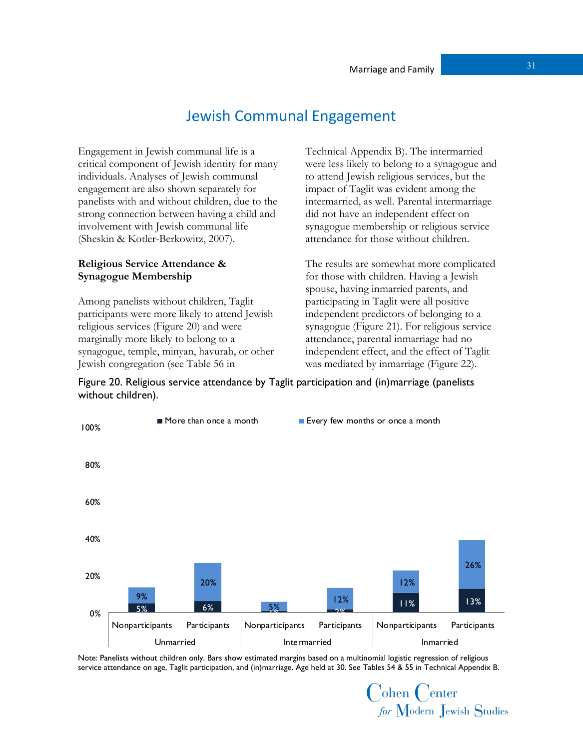# Jewish Communal Engagement

Engagement in Jewish communal life is a critical component of Jewish identity for many individuals. Analyses of Jewish communal engagement are also shown separately for panelists with and without children, due to the strong connection between having a child and involvement with Jewish communal life (Sheskin & Kotler-Berkowitz, 2007).

#### **Religious Service Attendance & Synagogue Membership**

Among panelists without children, Taglit participants were more likely to attend Jewish religious services (Figure 20) and were marginally more likely to belong to a synagogue, temple, minyan, havurah, or other Jewish congregation (see Table 56 in

Technical Appendix B). The intermarried were less likely to belong to a synagogue and to attend Jewish religious services, but the impact of Taglit was evident among the intermarried, as well. Parental intermarriage did not have an independent effect on synagogue membership or religious service attendance for those without children.

The results are somewhat more complicated for those with children. Having a Jewish spouse, having inmarried parents, and participating in Taglit were all positive independent predictors of belonging to a synagogue (Figure 21). For religious service attendance, parental inmarriage had no independent effect, and the effect of Taglit was mediated by inmarriage (Figure 22).

Figure 20. Religious service attendance by Taglit participation and (in)marriage (panelists without children).



Note: Panelists without children only. Bars show estimated margins based on a multinomial logistic regression of religious service attendance on age, Taglit participation, and (in)marriage. Age held at 30. See Tables 54 & 55 in Technical Appendix B.

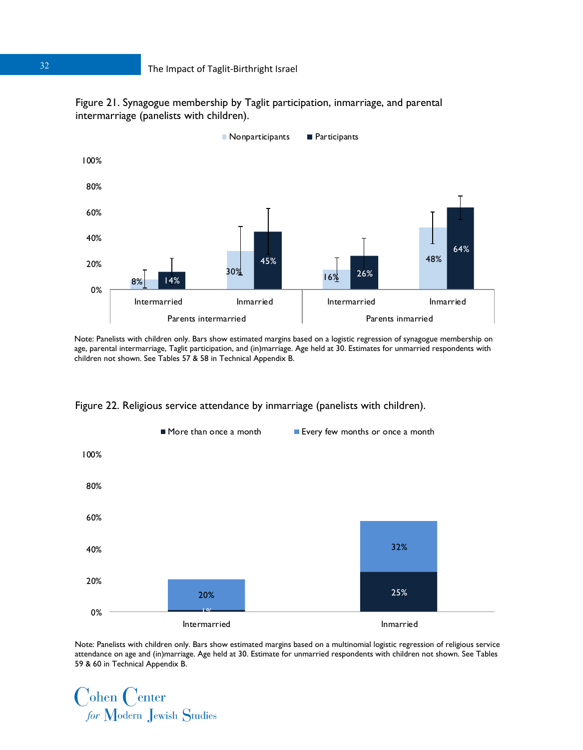### <sup>32</sup> The Impact of Taglit-Birthright Israel

Figure 21. Synagogue membership by Taglit participation, inmarriage, and parental intermarriage (panelists with children).



Note: Panelists with children only. Bars show estimated margins based on a logistic regression of synagogue membership on age, parental intermarriage, Taglit participation, and (in)marriage. Age held at 30. Estimates for unmarried respondents with children not shown. See Tables 57 & 58 in Technical Appendix B.



Figure 22. Religious service attendance by inmarriage (panelists with children).

Note: Panelists with children only. Bars show estimated margins based on a multinomial logistic regression of religious service attendance on age and (in)marriage. Age held at 30. Estimate for unmarried respondents with children not shown. See Tables 59 & 60 in Technical Appendix B.

 $\int$ ohen  $\int$ enter for Modern Jewish Studies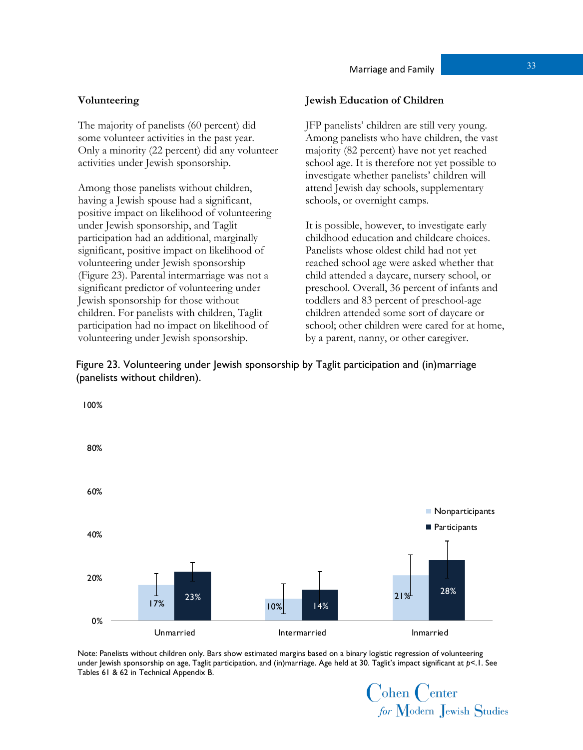### **Volunteering**

80%

100%

The majority of panelists (60 percent) did some volunteer activities in the past year. Only a minority (22 percent) did any volunteer activities under Jewish sponsorship.

Among those panelists without children, having a Jewish spouse had a significant, positive impact on likelihood of volunteering under Jewish sponsorship, and Taglit participation had an additional, marginally significant, positive impact on likelihood of volunteering under Jewish sponsorship (Figure 23). Parental intermarriage was not a significant predictor of volunteering under Jewish sponsorship for those without children. For panelists with children, Taglit participation had no impact on likelihood of volunteering under Jewish sponsorship.

#### **Jewish Education of Children**

JFP panelists' children are still very young. Among panelists who have children, the vast majority (82 percent) have not yet reached school age. It is therefore not yet possible to investigate whether panelists' children will attend Jewish day schools, supplementary schools, or overnight camps.

It is possible, however, to investigate early childhood education and childcare choices. Panelists whose oldest child had not yet reached school age were asked whether that child attended a daycare, nursery school, or preschool. Overall, 36 percent of infants and toddlers and 83 percent of preschool-age children attended some sort of daycare or school; other children were cared for at home, by a parent, nanny, or other caregiver.

Figure 23. Volunteering under Jewish sponsorship by Taglit participation and (in)marriage (panelists without children).

Note: Panelists without children only. Bars show estimated margins based on a binary logistic regression of volunteering under Jewish sponsorship on age, Taglit participation, and (in)marriage. Age held at 30. Taglit's impact significant at *p*<.1. See Tables 61 & 62 in Technical Appendix B.

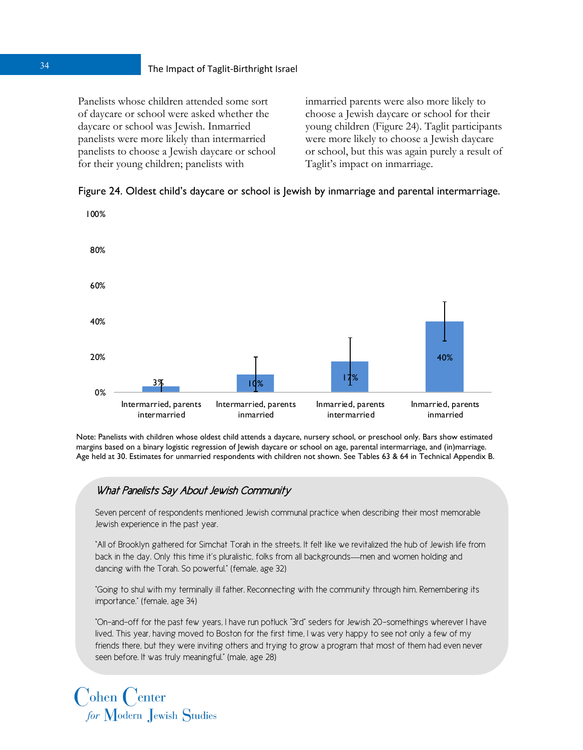Panelists whose children attended some sort of daycare or school were asked whether the daycare or school was Jewish. Inmarried panelists were more likely than intermarried panelists to choose a Jewish daycare or school for their young children; panelists with

inmarried parents were also more likely to choose a Jewish daycare or school for their young children (Figure 24). Taglit participants were more likely to choose a Jewish daycare or school, but this was again purely a result of Taglit's impact on inmarriage.





Note: Panelists with children whose oldest child attends a daycare, nursery school, or preschool only. Bars show estimated margins based on a binary logistic regression of Jewish daycare or school on age, parental intermarriage, and (in)marriage. Age held at 30. Estimates for unmarried respondents with children not shown. See Tables 63 & 64 in Technical Appendix B.

#### What Panelists Say About Jewish Community

Seven percent of respondents mentioned Jewish communal practice when describing their most memorable Jewish experience in the past year.

"All of Brooklyn gathered for Simchat Torah in the streets. It felt like we revitalized the hub of Jewish life from back in the day. Only this time it's pluralistic, folks from all backgrounds—men and women holding and dancing with the Torah. So powerful." (female, age 32)

"Going to shul with my terminally ill father. Reconnecting with the community through him. Remembering its importance." (female, age 34)

"On-and-off for the past few years, I have run potluck "3rd" seders for Jewish 20-somethings wherever I have lived. This year, having moved to Boston for the first time, I was very happy to see not only a few of my friends there, but they were inviting others and trying to grow a program that most of them had even never seen before. It was truly meaningful." (male, age 28)

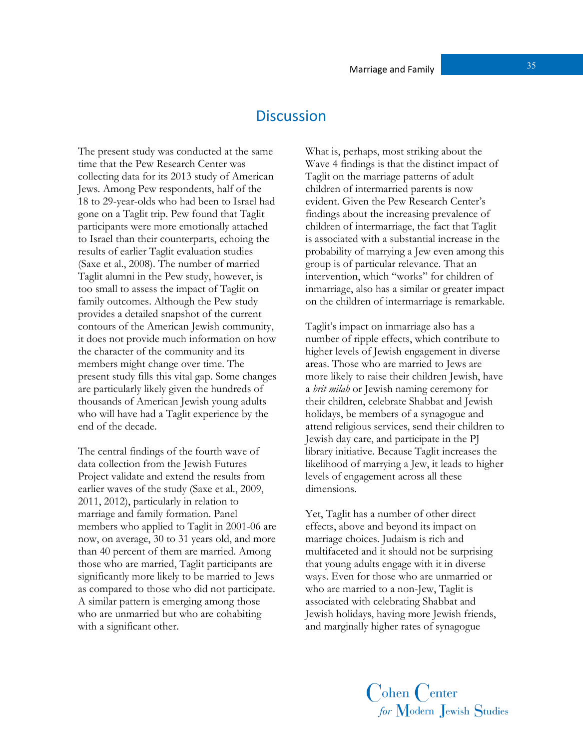### **Discussion**

The present study was conducted at the same time that the Pew Research Center was collecting data for its 2013 study of American Jews. Among Pew respondents, half of the 18 to 29-year-olds who had been to Israel had gone on a Taglit trip. Pew found that Taglit participants were more emotionally attached to Israel than their counterparts, echoing the results of earlier Taglit evaluation studies (Saxe et al., 2008). The number of married Taglit alumni in the Pew study, however, is too small to assess the impact of Taglit on family outcomes. Although the Pew study provides a detailed snapshot of the current contours of the American Jewish community, it does not provide much information on how the character of the community and its members might change over time. The present study fills this vital gap. Some changes are particularly likely given the hundreds of thousands of American Jewish young adults who will have had a Taglit experience by the end of the decade.

The central findings of the fourth wave of data collection from the Jewish Futures Project validate and extend the results from earlier waves of the study (Saxe et al., 2009, 2011, 2012), particularly in relation to marriage and family formation. Panel members who applied to Taglit in 2001-06 are now, on average, 30 to 31 years old, and more than 40 percent of them are married. Among those who are married, Taglit participants are significantly more likely to be married to Jews as compared to those who did not participate. A similar pattern is emerging among those who are unmarried but who are cohabiting with a significant other.

What is, perhaps, most striking about the Wave 4 findings is that the distinct impact of Taglit on the marriage patterns of adult children of intermarried parents is now evident. Given the Pew Research Center's findings about the increasing prevalence of children of intermarriage, the fact that Taglit is associated with a substantial increase in the probability of marrying a Jew even among this group is of particular relevance. That an intervention, which "works" for children of inmarriage, also has a similar or greater impact on the children of intermarriage is remarkable.

Taglit's impact on inmarriage also has a number of ripple effects, which contribute to higher levels of Jewish engagement in diverse areas. Those who are married to Jews are more likely to raise their children Jewish, have a *brit milah* or Jewish naming ceremony for their children, celebrate Shabbat and Jewish holidays, be members of a synagogue and attend religious services, send their children to Jewish day care, and participate in the PJ library initiative. Because Taglit increases the likelihood of marrying a Jew, it leads to higher levels of engagement across all these dimensions.

Yet, Taglit has a number of other direct effects, above and beyond its impact on marriage choices. Judaism is rich and multifaceted and it should not be surprising that young adults engage with it in diverse ways. Even for those who are unmarried or who are married to a non-Jew, Taglit is associated with celebrating Shabbat and Jewish holidays, having more Jewish friends, and marginally higher rates of synagogue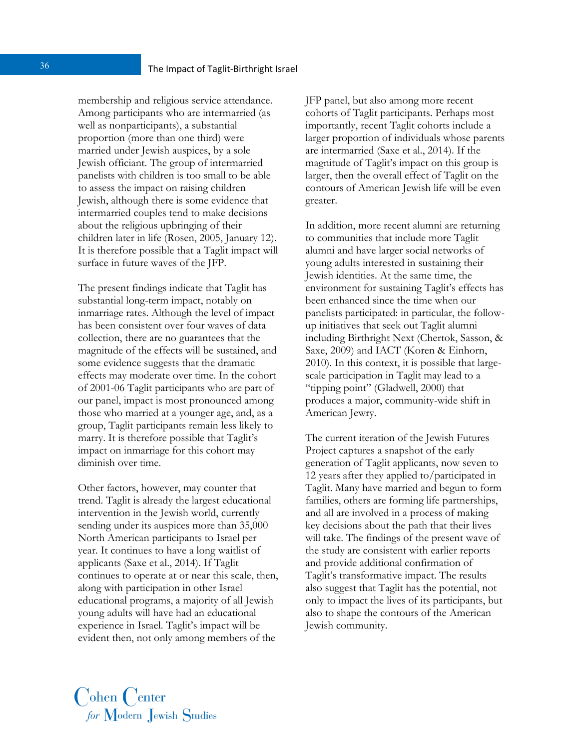membership and religious service attendance. Among participants who are intermarried (as well as nonparticipants), a substantial proportion (more than one third) were married under Jewish auspices, by a sole Jewish officiant. The group of intermarried panelists with children is too small to be able to assess the impact on raising children Jewish, although there is some evidence that intermarried couples tend to make decisions about the religious upbringing of their children later in life (Rosen, 2005, January 12). It is therefore possible that a Taglit impact will surface in future waves of the JFP.

The present findings indicate that Taglit has substantial long-term impact, notably on inmarriage rates. Although the level of impact has been consistent over four waves of data collection, there are no guarantees that the magnitude of the effects will be sustained, and some evidence suggests that the dramatic effects may moderate over time. In the cohort of 2001-06 Taglit participants who are part of our panel, impact is most pronounced among those who married at a younger age, and, as a group, Taglit participants remain less likely to marry. It is therefore possible that Taglit's impact on inmarriage for this cohort may diminish over time.

Other factors, however, may counter that trend. Taglit is already the largest educational intervention in the Jewish world, currently sending under its auspices more than 35,000 North American participants to Israel per year. It continues to have a long waitlist of applicants (Saxe et al., 2014). If Taglit continues to operate at or near this scale, then, along with participation in other Israel educational programs, a majority of all Jewish young adults will have had an educational experience in Israel. Taglit's impact will be evident then, not only among members of the

JFP panel, but also among more recent cohorts of Taglit participants. Perhaps most importantly, recent Taglit cohorts include a larger proportion of individuals whose parents are intermarried (Saxe et al., 2014). If the magnitude of Taglit's impact on this group is larger, then the overall effect of Taglit on the contours of American Jewish life will be even greater.

In addition, more recent alumni are returning to communities that include more Taglit alumni and have larger social networks of young adults interested in sustaining their Jewish identities. At the same time, the environment for sustaining Taglit's effects has been enhanced since the time when our panelists participated: in particular, the followup initiatives that seek out Taglit alumni including Birthright Next (Chertok, Sasson, & Saxe, 2009) and IACT (Koren & Einhorn, 2010). In this context, it is possible that largescale participation in Taglit may lead to a "tipping point" (Gladwell, 2000) that produces a major, community-wide shift in American Jewry.

The current iteration of the Jewish Futures Project captures a snapshot of the early generation of Taglit applicants, now seven to 12 years after they applied to/participated in Taglit. Many have married and begun to form families, others are forming life partnerships, and all are involved in a process of making key decisions about the path that their lives will take. The findings of the present wave of the study are consistent with earlier reports and provide additional confirmation of Taglit's transformative impact. The results also suggest that Taglit has the potential, not only to impact the lives of its participants, but also to shape the contours of the American Jewish community.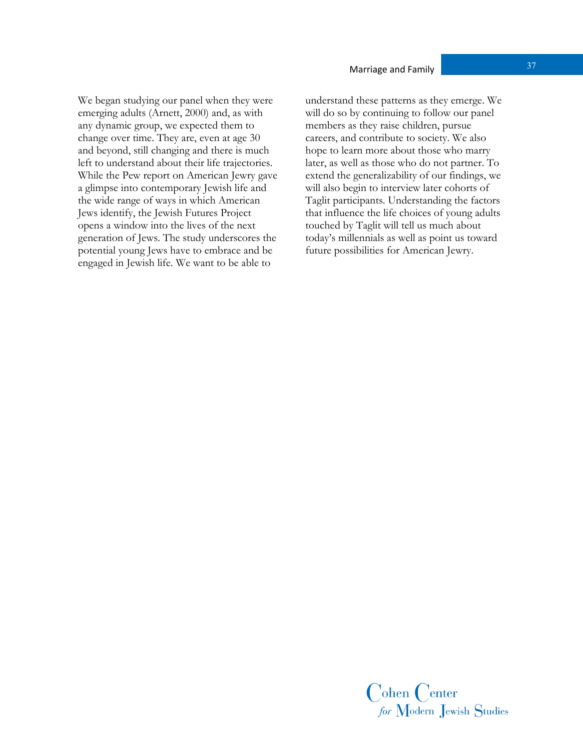### Marriage and Family **37** Section 2014 12:37

We began studying our panel when they were emerging adults (Arnett, 2000) and, as with any dynamic group, we expected them to change over time. They are, even at age 30 and beyond, still changing and there is much left to understand about their life trajectories. While the Pew report on American Jewry gave a glimpse into contemporary Jewish life and the wide range of ways in which American Jews identify, the Jewish Futures Project opens a window into the lives of the next generation of Jews. The study underscores the potential young Jews have to embrace and be engaged in Jewish life. We want to be able to

understand these patterns as they emerge. We will do so by continuing to follow our panel members as they raise children, pursue careers, and contribute to society. We also hope to learn more about those who marry later, as well as those who do not partner. To extend the generalizability of our findings, we will also begin to interview later cohorts of Taglit participants. Understanding the factors that influence the life choices of young adults touched by Taglit will tell us much about today's millennials as well as point us toward future possibilities for American Jewry.

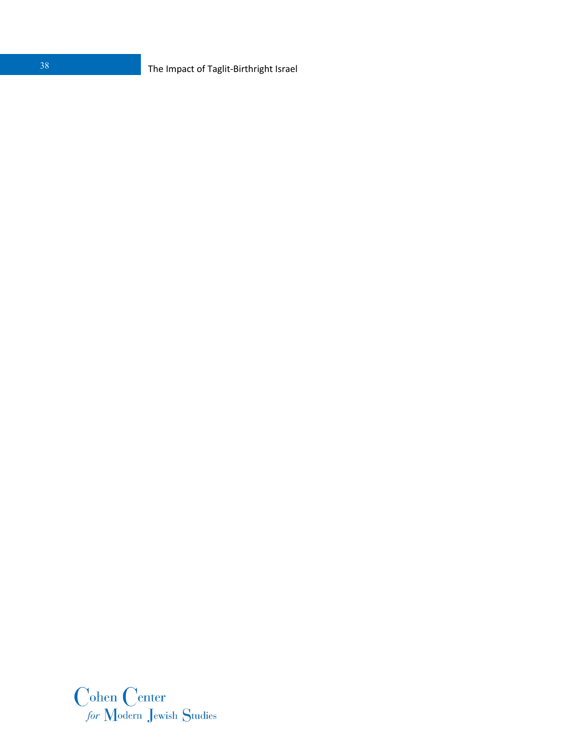**38** The Impact of Taglit-Birthright Israel

 $\begin{array}{c} \textbf{Cohen Center} \\ \textit{for Modern Jewish Studies} \end{array}$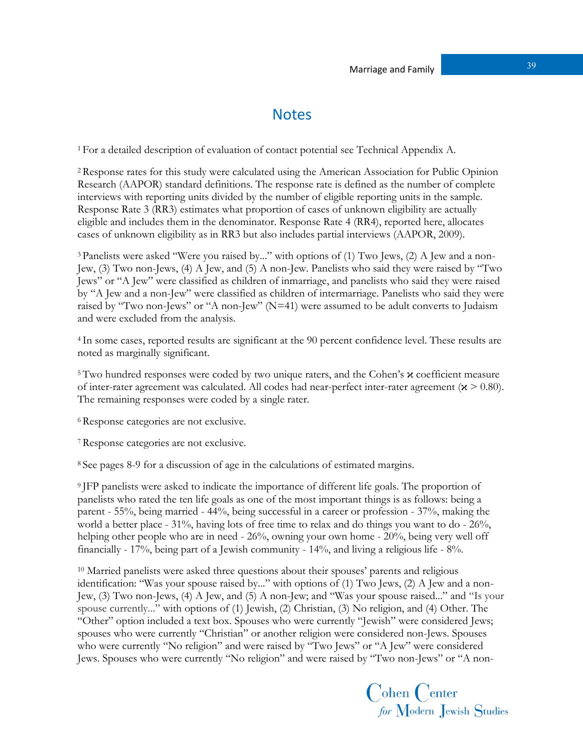### Notes

<sup>1</sup>For a detailed description of evaluation of contact potential see Technical Appendix A.

<sup>2</sup>Response rates for this study were calculated using the American Association for Public Opinion Research (AAPOR) standard definitions. The response rate is defined as the number of complete interviews with reporting units divided by the number of eligible reporting units in the sample. Response Rate 3 (RR3) estimates what proportion of cases of unknown eligibility are actually eligible and includes them in the denominator. Response Rate 4 (RR4), reported here, allocates cases of unknown eligibility as in RR3 but also includes partial interviews (AAPOR, 2009).

3 Panelists were asked "Were you raised by..." with options of (1) Two Jews, (2) A Jew and a non-Jew, (3) Two non-Jews, (4) A Jew, and (5) A non-Jew. Panelists who said they were raised by "Two Jews" or "A Jew" were classified as children of inmarriage, and panelists who said they were raised by "A Jew and a non-Jew" were classified as children of intermarriage. Panelists who said they were raised by "Two non-Jews" or "A non-Jew" (N=41) were assumed to be adult converts to Judaism and were excluded from the analysis.

<sup>4</sup>In some cases, reported results are significant at the 90 percent confidence level. These results are noted as marginally significant.

 $5$ Two hundred responses were coded by two unique raters, and the Cohen's  $\chi$  coefficient measure of inter-rater agreement was calculated. All codes had near-perfect inter-rater agreement ( $\alpha$  > 0.80). The remaining responses were coded by a single rater.

<sup>6</sup>Response categories are not exclusive.

<sup>7</sup>Response categories are not exclusive.

<sup>8</sup>See pages 8-9 for a discussion of age in the calculations of estimated margins.

<sup>9</sup>JFP panelists were asked to indicate the importance of different life goals. The proportion of panelists who rated the ten life goals as one of the most important things is as follows: being a parent - 55%, being married - 44%, being successful in a career or profession - 37%, making the world a better place - 31%, having lots of free time to relax and do things you want to do - 26%, helping other people who are in need - 26%, owning your own home - 20%, being very well off financially - 17%, being part of a Jewish community - 14%, and living a religious life - 8%.

<sup>10</sup> Married panelists were asked three questions about their spouses' parents and religious identification: "Was your spouse raised by..." with options of (1) Two Jews, (2) A Jew and a non-Jew, (3) Two non-Jews, (4) A Jew, and (5) A non-Jew; and "Was your spouse raised..." and "Is your spouse currently..." with options of (1) Jewish, (2) Christian, (3) No religion, and (4) Other. The "Other" option included a text box. Spouses who were currently "Jewish" were considered Jews; spouses who were currently "Christian" or another religion were considered non-Jews. Spouses who were currently "No religion" and were raised by "Two Jews" or "A Jew" were considered Jews. Spouses who were currently "No religion" and were raised by "Two non-Jews" or "A non-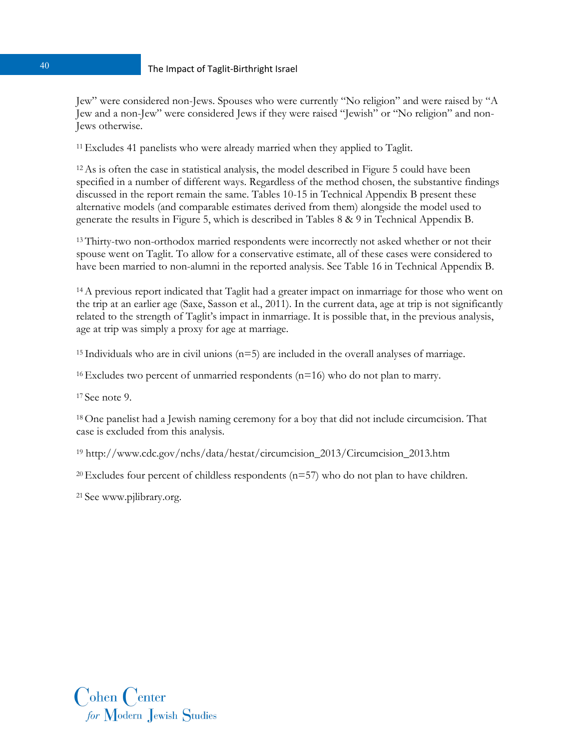### <sup>40</sup> The Impact of Taglit-Birthright Israel

Jew" were considered non-Jews. Spouses who were currently "No religion" and were raised by "A Jew and a non-Jew" were considered Jews if they were raised "Jewish" or "No religion" and non-Jews otherwise.

<sup>11</sup>Excludes 41 panelists who were already married when they applied to Taglit.

<sup>12</sup>As is often the case in statistical analysis, the model described in Figure 5 could have been specified in a number of different ways. Regardless of the method chosen, the substantive findings discussed in the report remain the same. Tables 10-15 in Technical Appendix B present these alternative models (and comparable estimates derived from them) alongside the model used to generate the results in Figure 5, which is described in Tables 8 & 9 in Technical Appendix B.

<sup>13</sup>Thirty-two non-orthodox married respondents were incorrectly not asked whether or not their spouse went on Taglit. To allow for a conservative estimate, all of these cases were considered to have been married to non-alumni in the reported analysis. See Table 16 in Technical Appendix B.

<sup>14</sup>A previous report indicated that Taglit had a greater impact on inmarriage for those who went on the trip at an earlier age (Saxe, Sasson et al., 2011). In the current data, age at trip is not significantly related to the strength of Taglit's impact in inmarriage. It is possible that, in the previous analysis, age at trip was simply a proxy for age at marriage.

<sup>15</sup> Individuals who are in civil unions  $(n=5)$  are included in the overall analyses of marriage.

<sup>16</sup> Excludes two percent of unmarried respondents ( $n=16$ ) who do not plan to marry.

<sup>17</sup>See note 9.

<sup>18</sup>One panelist had a Jewish naming ceremony for a boy that did not include circumcision. That case is excluded from this analysis.

<sup>19</sup> http://www.cdc.gov/nchs/data/hestat/circumcision\_2013/Circumcision\_2013.htm

 $20$  Excludes four percent of childless respondents ( $n=57$ ) who do not plan to have children.

21 See www.pjlibrary.org.

 $\int$ ohen  $\int$ enter for Modern Tewish Studies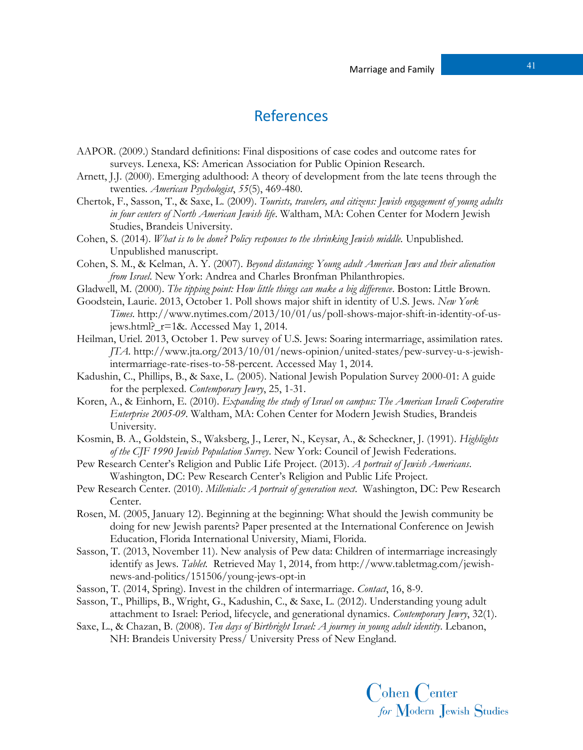# **References**

- AAPOR. (2009.) Standard definitions: Final dispositions of case codes and outcome rates for surveys. Lenexa, KS: American Association for Public Opinion Research.
- Arnett, J.J. (2000). Emerging adulthood: A theory of development from the late teens through the twenties*. American Psychologist*, *55*(5), 469-480.
- Chertok, F., Sasson, T., & Saxe, L. (2009). *Tourists, travelers, and citizens: Jewish engagement of young adults in four centers of North American Jewish life*. Waltham, MA: Cohen Center for Modern Jewish Studies, Brandeis University.
- Cohen, S. (2014). *What is to be done? Policy responses to the shrinking Jewish middle.* Unpublished. Unpublished manuscript.
- Cohen, S. M., & Kelman, A. Y. (2007). *Beyond distancing: Young adult American Jews and their alienation from Israel*. New York: Andrea and Charles Bronfman Philanthropies.
- Gladwell, M. (2000). *The tipping point: How little things can make a big difference*. Boston: Little Brown.
- Goodstein, Laurie. 2013, October 1. Poll shows major shift in identity of U.S. Jews. *New York Times*. http://www.nytimes.com/2013/10/01/us/poll-shows-major-shift-in-identity-of-usjews.html?\_r=1&. Accessed May 1, 2014.
- Heilman, Uriel. 2013, October 1. Pew survey of U.S. Jews: Soaring intermarriage, assimilation rates. *JTA*. http://www.jta.org/2013/10/01/news-opinion/united-states/pew-survey-u-s-jewishintermarriage-rate-rises-to-58-percent. Accessed May 1, 2014.
- Kadushin, C., Phillips, B., & Saxe, L. (2005). National Jewish Population Survey 2000-01: A guide for the perplexed. *Contemporary Jewry*, 25, 1-31.
- Koren, A., & Einhorn, E. (2010). *Expanding the study of Israel on campus: The American Israeli Cooperative Enterprise 2005-09*. Waltham, MA: Cohen Center for Modern Jewish Studies, Brandeis University.
- Kosmin, B. A., Goldstein, S., Waksberg, J., Lerer, N., Keysar, A., & Scheckner, J. (1991). *Highlights of the CJF 1990 Jewish Population Survey*. New York: Council of Jewish Federations.
- Pew Research Center's Religion and Public Life Project. (2013). *A portrait of Jewish Americans*. Washington, DC: Pew Research Center's Religion and Public Life Project.
- Pew Research Center. (2010). *Millenials: A portrait of generation next*. Washington, DC: Pew Research Center.
- Rosen, M. (2005, January 12). Beginning at the beginning: What should the Jewish community be doing for new Jewish parents? Paper presented at the International Conference on Jewish Education, Florida International University, Miami, Florida.
- Sasson, T. (2013, November 11). New analysis of Pew data: Children of intermarriage increasingly identify as Jews. *Tablet.* Retrieved May 1, 2014, from http://www.tabletmag.com/jewishnews-and-politics/151506/young-jews-opt-in
- Sasson, T. (2014, Spring). Invest in the children of intermarriage. *Contact*, 16, 8-9.
- Sasson, T., Phillips, B., Wright, G., Kadushin, C., & Saxe, L. (2012). Understanding young adult attachment to Israel: Period, lifecycle, and generational dynamics. *Contemporary Jewry*, 32(1).
- Saxe, L., & Chazan, B. (2008). *Ten days of Birthright Israel: A journey in young adult identity*. Lebanon, NH: Brandeis University Press/ University Press of New England.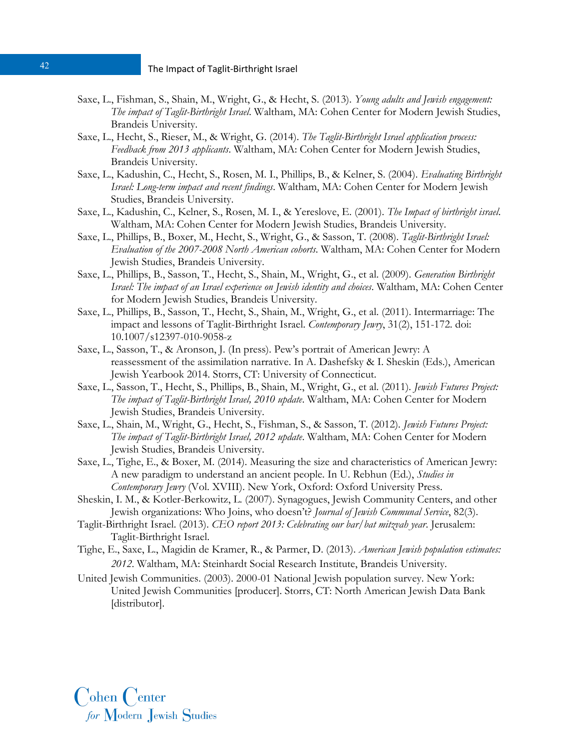### <sup>42</sup> The Impact of Taglit-Birthright Israel

- Saxe, L., Fishman, S., Shain, M., Wright, G., & Hecht, S. (2013). *Young adults and Jewish engagement: The impact of Taglit-Birthright Israel*. Waltham, MA: Cohen Center for Modern Jewish Studies, Brandeis University.
- Saxe, L., Hecht, S., Rieser, M., & Wright, G. (2014). *The Taglit-Birthright Israel application process: Feedback from 2013 applicants*. Waltham, MA: Cohen Center for Modern Jewish Studies, Brandeis University.
- Saxe, L., Kadushin, C., Hecht, S., Rosen, M. I., Phillips, B., & Kelner, S. (2004). *Evaluating Birthright Israel: Long-term impact and recent findings*. Waltham, MA: Cohen Center for Modern Jewish Studies, Brandeis University.
- Saxe, L., Kadushin, C., Kelner, S., Rosen, M. I., & Yereslove, E. (2001). *The Impact of birthright israel*. Waltham, MA: Cohen Center for Modern Jewish Studies, Brandeis University.
- Saxe, L., Phillips, B., Boxer, M., Hecht, S., Wright, G., & Sasson, T. (2008). *Taglit-Birthright Israel: Evaluation of the 2007-2008 North American cohorts*. Waltham, MA: Cohen Center for Modern Jewish Studies, Brandeis University.
- Saxe, L., Phillips, B., Sasson, T., Hecht, S., Shain, M., Wright, G., et al. (2009). *Generation Birthright Israel: The impact of an Israel experience on Jewish identity and choices*. Waltham, MA: Cohen Center for Modern Jewish Studies, Brandeis University.
- Saxe, L., Phillips, B., Sasson, T., Hecht, S., Shain, M., Wright, G., et al. (2011). Intermarriage: The impact and lessons of Taglit-Birthright Israel. *Contemporary Jewry*, 31(2), 151-172. doi: 10.1007/s12397-010-9058-z
- Saxe, L., Sasson, T., & Aronson, J. (In press). Pew's portrait of American Jewry: A reassessment of the assimilation narrative. In A. Dashefsky & I. Sheskin (Eds.), American Jewish Yearbook 2014. Storrs, CT: University of Connecticut.
- Saxe, L., Sasson, T., Hecht, S., Phillips, B., Shain, M., Wright, G., et al. (2011). *Jewish Futures Project: The impact of Taglit-Birthright Israel, 2010 update*. Waltham, MA: Cohen Center for Modern Jewish Studies, Brandeis University.
- Saxe, L., Shain, M., Wright, G., Hecht, S., Fishman, S., & Sasson, T. (2012). *Jewish Futures Project: The impact of Taglit-Birthright Israel, 2012 update*. Waltham, MA: Cohen Center for Modern Jewish Studies, Brandeis University.
- Saxe, L., Tighe, E., & Boxer, M. (2014). Measuring the size and characteristics of American Jewry: A new paradigm to understand an ancient people. In U. Rebhun (Ed.), *Studies in Contemporary Jewry* (Vol. XVIII). New York, Oxford: Oxford University Press.
- Sheskin, I. M., & Kotler-Berkowitz, L. (2007). Synagogues, Jewish Community Centers, and other Jewish organizations: Who Joins, who doesn't? *Journal of Jewish Communal Service*, 82(3).
- Taglit-Birthright Israel. (2013). *CEO report 2013: Celebrating our bar/bat mitzvah year*. Jerusalem: Taglit-Birthright Israel.
- Tighe, E., Saxe, L., Magidin de Kramer, R., & Parmer, D. (2013). *American Jewish population estimates: 2012*. Waltham, MA: Steinhardt Social Research Institute, Brandeis University.
- United Jewish Communities. (2003). 2000-01 National Jewish population survey. New York: United Jewish Communities [producer]. Storrs, CT: North American Jewish Data Bank [distributor].

Cohen Center for Modern Tewish Studies